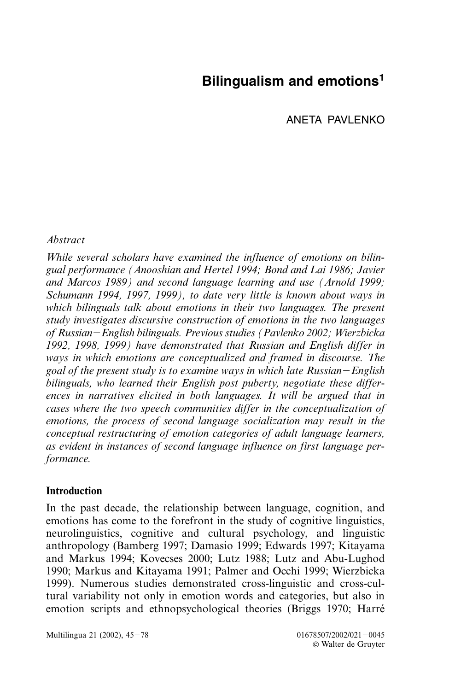# **Bilingualism and emotions1**

# ANFTA PAVI FNKO

#### *Abstract*

*While several scholars have examined the influence of emotions on bilingual performance (Anooshian and Hertel 1994; Bond and Lai 1986; Javier and Marcos 1989) and second language learning and use (Arnold 1999; Schumann 1994, 1997, 1999), to date very little is known about ways in which bilinguals talk about emotions in their two languages. The present study investigates discursive construction of emotions in the two languages of RussianEnglish bilinguals. Previous studies (Pavlenko 2002; Wierzbicka 1992, 1998, 1999) have demonstrated that Russian and English differ in ways in which emotions are conceptualized and framed in discourse. The goal of the present study is to examine ways in which late RussianEnglish bilinguals, who learned their English post puberty, negotiate these differences in narratives elicited in both languages. It will be argued that in cases where the two speech communities differ in the conceptualization of emotions, the process of second language socialization may result in the conceptual restructuring of emotion categories of adult language learners, as evident in instances of second language influence on first language performance.*

#### **Introduction**

In the past decade, the relationship between language, cognition, and emotions has come to the forefront in the study of cognitive linguistics, neurolinguistics, cognitive and cultural psychology, and linguistic anthropology (Bamberg 1997; Damasio 1999; Edwards 1997; Kitayama and Markus 1994; Kovecses 2000; Lutz 1988; Lutz and Abu-Lughod 1990; Markus and Kitayama 1991; Palmer and Occhi 1999; Wierzbicka 1999). Numerous studies demonstrated cross-linguistic and cross-cultural variability not only in emotion words and categories, but also in emotion scripts and ethnopsychological theories (Briggs 1970; Harré

Multilingua 21 (2002),  $45-78$  01678507/2002/021-0045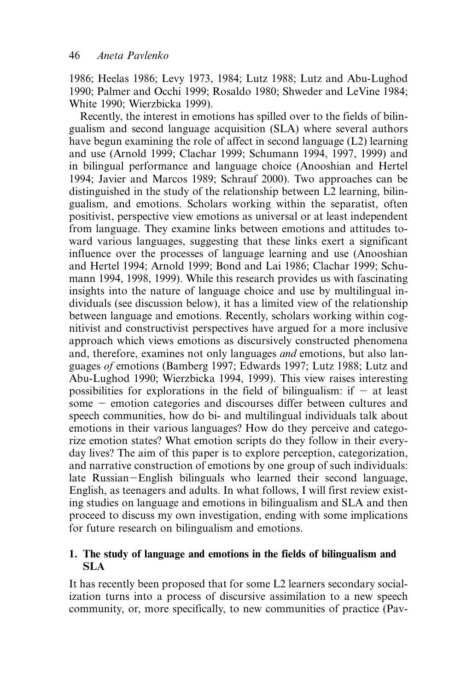1986; Heelas 1986; Levy 1973, 1984; Lutz 1988; Lutz and Abu-Lughod 1990; Palmer and Occhi 1999; Rosaldo 1980; Shweder and LeVine 1984; White 1990; Wierzbicka 1999).

Recently, the interest in emotions has spilled over to the fields of bilingualism and second language acquisition (SLA) where several authors have begun examining the role of affect in second language (L2) learning and use (Arnold 1999; Clachar 1999; Schumann 1994, 1997, 1999) and in bilingual performance and language choice (Anooshian and Hertel 1994; Javier and Marcos 1989; Schrauf 2000). Two approaches can be distinguished in the study of the relationship between L2 learning, bilingualism, and emotions. Scholars working within the separatist, often positivist, perspective view emotions as universal or at least independent from language. They examine links between emotions and attitudes toward various languages, suggesting that these links exert a significant influence over the processes of language learning and use (Anooshian and Hertel 1994; Arnold 1999; Bond and Lai 1986; Clachar 1999; Schumann 1994, 1998, 1999). While this research provides us with fascinating insights into the nature of language choice and use by multilingual individuals (see discussion below), it has a limited view of the relationship between language and emotions. Recently, scholars working within cognitivist and constructivist perspectives have argued for a more inclusive approach which views emotions as discursively constructed phenomena and, therefore, examines not only languages *and* emotions, but also languages *of* emotions (Bamberg 1997; Edwards 1997; Lutz 1988; Lutz and Abu-Lughod 1990; Wierzbicka 1994, 1999). This view raises interesting possibilities for explorations in the field of bilingualism: if  $-$  at least some – emotion categories and discourses differ between cultures and speech communities, how do bi- and multilingual individuals talk about emotions in their various languages? How do they perceive and categorize emotion states? What emotion scripts do they follow in their everyday lives? The aim of this paper is to explore perception, categorization, and narrative construction of emotions by one group of such individuals: late Russian-English bilinguals who learned their second language, English, as teenagers and adults. In what follows, I will first review existing studies on language and emotions in bilingualism and SLA and then proceed to discuss my own investigation, ending with some implications for future research on bilingualism and emotions.

#### **1. The study of language and emotions in the fields of bilingualism and SLA**

It has recently been proposed that for some L2 learners secondary socialization turns into a process of discursive assimilation to a new speech community, or, more specifically, to new communities of practice (Pav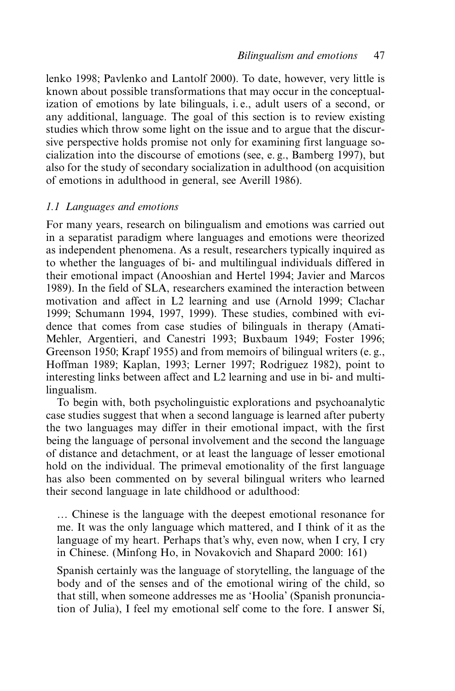lenko 1998; Pavlenko and Lantolf 2000). To date, however, very little is known about possible transformations that may occur in the conceptualization of emotions by late bilinguals, i. e., adult users of a second, or any additional, language. The goal of this section is to review existing studies which throw some light on the issue and to argue that the discursive perspective holds promise not only for examining first language socialization into the discourse of emotions (see, e. g., Bamberg 1997), but also for the study of secondary socialization in adulthood (on acquisition of emotions in adulthood in general, see Averill 1986).

#### *1.1 Languages and emotions*

For many years, research on bilingualism and emotions was carried out in a separatist paradigm where languages and emotions were theorized as independent phenomena. As a result, researchers typically inquired as to whether the languages of bi- and multilingual individuals differed in their emotional impact (Anooshian and Hertel 1994; Javier and Marcos 1989). In the field of SLA, researchers examined the interaction between motivation and affect in L2 learning and use (Arnold 1999; Clachar 1999; Schumann 1994, 1997, 1999). These studies, combined with evidence that comes from case studies of bilinguals in therapy (Amati-Mehler, Argentieri, and Canestri 1993; Buxbaum 1949; Foster 1996; Greenson 1950; Krapf 1955) and from memoirs of bilingual writers (e. g., Hoffman 1989; Kaplan, 1993; Lerner 1997; Rodriguez 1982), point to interesting links between affect and L2 learning and use in bi- and multilingualism.

To begin with, both psycholinguistic explorations and psychoanalytic case studies suggest that when a second language is learned after puberty the two languages may differ in their emotional impact, with the first being the language of personal involvement and the second the language of distance and detachment, or at least the language of lesser emotional hold on the individual. The primeval emotionality of the first language has also been commented on by several bilingual writers who learned their second language in late childhood or adulthood:

… Chinese is the language with the deepest emotional resonance for me. It was the only language which mattered, and I think of it as the language of my heart. Perhaps that's why, even now, when I cry, I cry in Chinese. (Minfong Ho, in Novakovich and Shapard 2000: 161)

Spanish certainly was the language of storytelling, the language of the body and of the senses and of the emotional wiring of the child, so that still, when someone addresses me as 'Hoolia' (Spanish pronunciation of Julia), I feel my emotional self come to the fore. I answer Sí,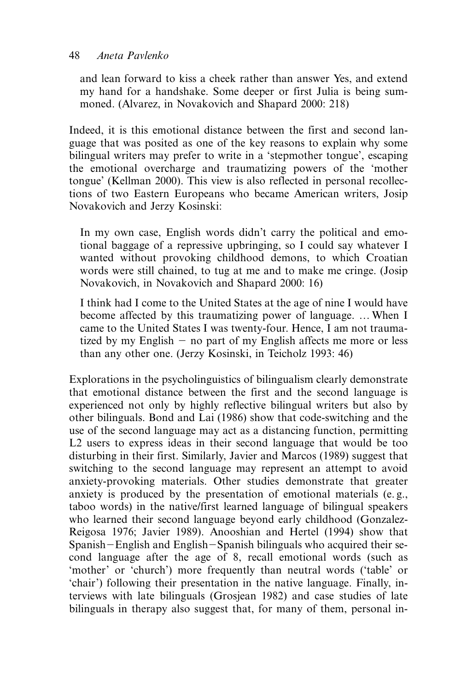#### 48 *Aneta Pavlenko*

and lean forward to kiss a cheek rather than answer Yes, and extend my hand for a handshake. Some deeper or first Julia is being summoned. (Alvarez, in Novakovich and Shapard 2000: 218)

Indeed, it is this emotional distance between the first and second language that was posited as one of the key reasons to explain why some bilingual writers may prefer to write in a 'stepmother tongue', escaping the emotional overcharge and traumatizing powers of the 'mother tongue' (Kellman 2000). This view is also reflected in personal recollections of two Eastern Europeans who became American writers, Josip Novakovich and Jerzy Kosinski:

In my own case, English words didn't carry the political and emotional baggage of a repressive upbringing, so I could say whatever I wanted without provoking childhood demons, to which Croatian words were still chained, to tug at me and to make me cringe. (Josip Novakovich, in Novakovich and Shapard 2000: 16)

I think had I come to the United States at the age of nine I would have become affected by this traumatizing power of language. … When I came to the United States I was twenty-four. Hence, I am not traumatized by my English  $-$  no part of my English affects me more or less than any other one. (Jerzy Kosinski, in Teicholz 1993: 46)

Explorations in the psycholinguistics of bilingualism clearly demonstrate that emotional distance between the first and the second language is experienced not only by highly reflective bilingual writers but also by other bilinguals. Bond and Lai (1986) show that code-switching and the use of the second language may act as a distancing function, permitting L2 users to express ideas in their second language that would be too disturbing in their first. Similarly, Javier and Marcos (1989) suggest that switching to the second language may represent an attempt to avoid anxiety-provoking materials. Other studies demonstrate that greater anxiety is produced by the presentation of emotional materials (e. g., taboo words) in the native/first learned language of bilingual speakers who learned their second language beyond early childhood (Gonzalez-Reigosa 1976; Javier 1989). Anooshian and Hertel (1994) show that Spanish—English and English—Spanish bilinguals who acquired their second language after the age of 8, recall emotional words (such as 'mother' or 'church') more frequently than neutral words ('table' or 'chair') following their presentation in the native language. Finally, interviews with late bilinguals (Grosjean 1982) and case studies of late bilinguals in therapy also suggest that, for many of them, personal in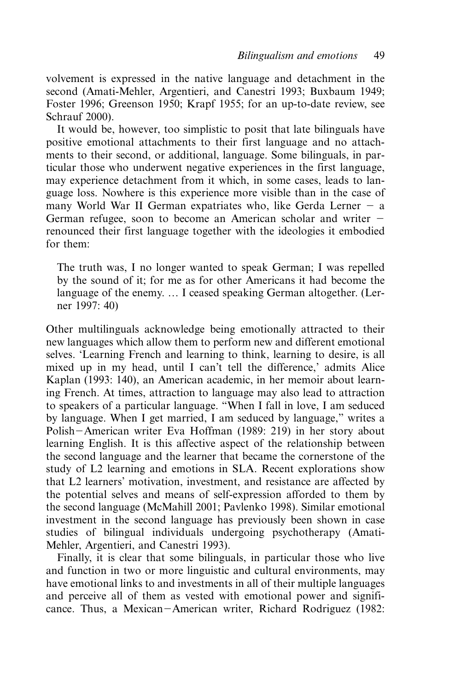volvement is expressed in the native language and detachment in the second (Amati-Mehler, Argentieri, and Canestri 1993; Buxbaum 1949; Foster 1996; Greenson 1950; Krapf 1955; for an up-to-date review, see Schrauf 2000).

It would be, however, too simplistic to posit that late bilinguals have positive emotional attachments to their first language and no attachments to their second, or additional, language. Some bilinguals, in particular those who underwent negative experiences in the first language, may experience detachment from it which, in some cases, leads to language loss. Nowhere is this experience more visible than in the case of many World War II German expatriates who, like Gerda Lerner  $-$  a German refugee, soon to become an American scholar and writer  $$ renounced their first language together with the ideologies it embodied for them:

The truth was, I no longer wanted to speak German; I was repelled by the sound of it; for me as for other Americans it had become the language of the enemy. … I ceased speaking German altogether. (Lerner 1997: 40)

Other multilinguals acknowledge being emotionally attracted to their new languages which allow them to perform new and different emotional selves. 'Learning French and learning to think, learning to desire, is all mixed up in my head, until I can't tell the difference,' admits Alice Kaplan (1993: 140), an American academic, in her memoir about learning French. At times, attraction to language may also lead to attraction to speakers of a particular language. "When I fall in love, I am seduced by language. When I get married, I am seduced by language," writes a Polish-American writer Eva Hoffman (1989: 219) in her story about learning English. It is this affective aspect of the relationship between the second language and the learner that became the cornerstone of the study of L2 learning and emotions in SLA. Recent explorations show that L2 learners' motivation, investment, and resistance are affected by the potential selves and means of self-expression afforded to them by the second language (McMahill 2001; Pavlenko 1998). Similar emotional investment in the second language has previously been shown in case studies of bilingual individuals undergoing psychotherapy (Amati-Mehler, Argentieri, and Canestri 1993).

Finally, it is clear that some bilinguals, in particular those who live and function in two or more linguistic and cultural environments, may have emotional links to and investments in all of their multiple languages and perceive all of them as vested with emotional power and significance. Thus, a Mexican-American writer, Richard Rodriguez (1982: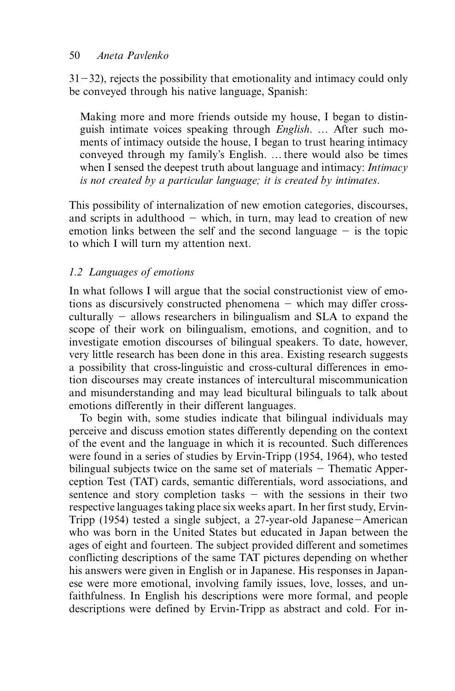$31-32$ ), rejects the possibility that emotionality and intimacy could only be conveyed through his native language, Spanish:

Making more and more friends outside my house, I began to distinguish intimate voices speaking through *English*. … After such moments of intimacy outside the house, I began to trust hearing intimacy conveyed through my family's English. … there would also be times when I sensed the deepest truth about language and intimacy: *Intimacy is not created by a particular language; it is created by intimates*.

This possibility of internalization of new emotion categories, discourses, and scripts in adulthood  $-$  which, in turn, may lead to creation of new emotion links between the self and the second language  $-$  is the topic to which I will turn my attention next.

### *1.2 Languages of emotions*

In what follows I will argue that the social constructionist view of emotions as discursively constructed phenomena  $-$  which may differ crossculturally  $-$  allows researchers in bilingualism and SLA to expand the scope of their work on bilingualism, emotions, and cognition, and to investigate emotion discourses of bilingual speakers. To date, however, very little research has been done in this area. Existing research suggests a possibility that cross-linguistic and cross-cultural differences in emotion discourses may create instances of intercultural miscommunication and misunderstanding and may lead bicultural bilinguals to talk about emotions differently in their different languages.

To begin with, some studies indicate that bilingual individuals may perceive and discuss emotion states differently depending on the context of the event and the language in which it is recounted. Such differences were found in a series of studies by Ervin-Tripp (1954, 1964), who tested bilingual subjects twice on the same set of materials  $-$  Thematic Apperception Test (TAT) cards, semantic differentials, word associations, and sentence and story completion tasks  $-$  with the sessions in their two respective languages taking place six weeks apart. In her first study, Ervin-Tripp  $(1954)$  tested a single subject, a 27-year-old Japanese-American who was born in the United States but educated in Japan between the ages of eight and fourteen. The subject provided different and sometimes conflicting descriptions of the same TAT pictures depending on whether his answers were given in English or in Japanese. His responses in Japanese were more emotional, involving family issues, love, losses, and unfaithfulness. In English his descriptions were more formal, and people descriptions were defined by Ervin-Tripp as abstract and cold. For in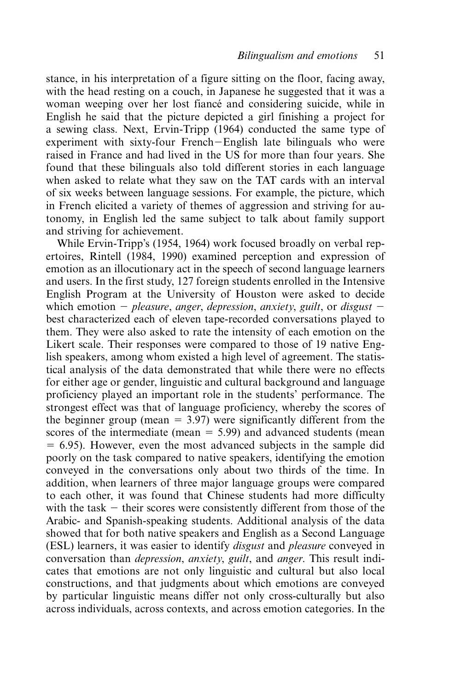stance, in his interpretation of a figure sitting on the floor, facing away, with the head resting on a couch, in Japanese he suggested that it was a woman weeping over her lost fiancé and considering suicide, while in English he said that the picture depicted a girl finishing a project for a sewing class. Next, Ervin-Tripp (1964) conducted the same type of experiment with sixty-four French-English late bilinguals who were raised in France and had lived in the US for more than four years. She found that these bilinguals also told different stories in each language when asked to relate what they saw on the TAT cards with an interval of six weeks between language sessions. For example, the picture, which in French elicited a variety of themes of aggression and striving for autonomy, in English led the same subject to talk about family support and striving for achievement.

While Ervin-Tripp's (1954, 1964) work focused broadly on verbal repertoires, Rintell (1984, 1990) examined perception and expression of emotion as an illocutionary act in the speech of second language learners and users. In the first study, 127 foreign students enrolled in the Intensive English Program at the University of Houston were asked to decide which emotion *pleasure*, *anger*, *depression*, *anxiety*, *guilt*, or *disgust* best characterized each of eleven tape-recorded conversations played to them. They were also asked to rate the intensity of each emotion on the Likert scale. Their responses were compared to those of 19 native English speakers, among whom existed a high level of agreement. The statistical analysis of the data demonstrated that while there were no effects for either age or gender, linguistic and cultural background and language proficiency played an important role in the students' performance. The strongest effect was that of language proficiency, whereby the scores of the beginner group (mean  $= 3.97$ ) were significantly different from the scores of the intermediate (mean  $= 5.99$ ) and advanced students (mean - 6.95). However, even the most advanced subjects in the sample did poorly on the task compared to native speakers, identifying the emotion conveyed in the conversations only about two thirds of the time. In addition, when learners of three major language groups were compared to each other, it was found that Chinese students had more difficulty with the task  $-$  their scores were consistently different from those of the Arabic- and Spanish-speaking students. Additional analysis of the data showed that for both native speakers and English as a Second Language (ESL) learners, it was easier to identify *disgust* and *pleasure* conveyed in conversation than *depression*, *anxiety*, *guilt*, and *anger*. This result indicates that emotions are not only linguistic and cultural but also local constructions, and that judgments about which emotions are conveyed by particular linguistic means differ not only cross-culturally but also across individuals, across contexts, and across emotion categories. In the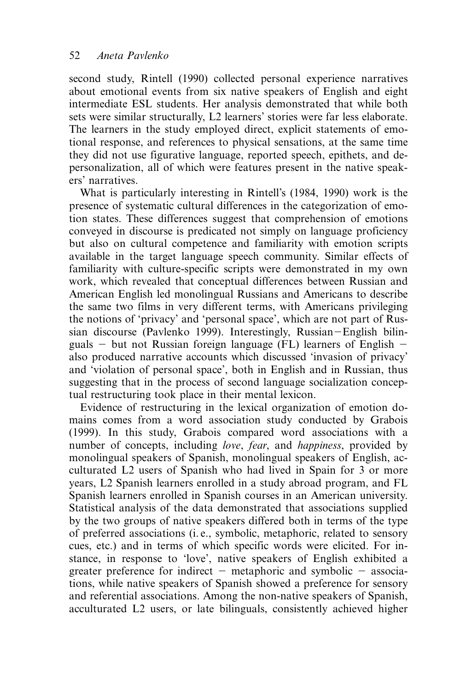second study, Rintell (1990) collected personal experience narratives about emotional events from six native speakers of English and eight intermediate ESL students. Her analysis demonstrated that while both sets were similar structurally, L2 learners' stories were far less elaborate. The learners in the study employed direct, explicit statements of emotional response, and references to physical sensations, at the same time they did not use figurative language, reported speech, epithets, and depersonalization, all of which were features present in the native speakers' narratives.

What is particularly interesting in Rintell's (1984, 1990) work is the presence of systematic cultural differences in the categorization of emotion states. These differences suggest that comprehension of emotions conveyed in discourse is predicated not simply on language proficiency but also on cultural competence and familiarity with emotion scripts available in the target language speech community. Similar effects of familiarity with culture-specific scripts were demonstrated in my own work, which revealed that conceptual differences between Russian and American English led monolingual Russians and Americans to describe the same two films in very different terms, with Americans privileging the notions of 'privacy' and 'personal space', which are not part of Russian discourse (Pavlenko 1999). Interestingly, Russian-English bilinguals  $-$  but not Russian foreign language (FL) learners of English  $$ also produced narrative accounts which discussed 'invasion of privacy' and 'violation of personal space', both in English and in Russian, thus suggesting that in the process of second language socialization conceptual restructuring took place in their mental lexicon.

Evidence of restructuring in the lexical organization of emotion domains comes from a word association study conducted by Grabois (1999). In this study, Grabois compared word associations with a number of concepts, including *love*, *fear*, and *happiness*, provided by monolingual speakers of Spanish, monolingual speakers of English, acculturated L2 users of Spanish who had lived in Spain for 3 or more years, L2 Spanish learners enrolled in a study abroad program, and FL Spanish learners enrolled in Spanish courses in an American university. Statistical analysis of the data demonstrated that associations supplied by the two groups of native speakers differed both in terms of the type of preferred associations (i. e., symbolic, metaphoric, related to sensory cues, etc.) and in terms of which specific words were elicited. For instance, in response to 'love', native speakers of English exhibited a greater preference for indirect  $-$  metaphoric and symbolic  $-$  associations, while native speakers of Spanish showed a preference for sensory and referential associations. Among the non-native speakers of Spanish, acculturated L2 users, or late bilinguals, consistently achieved higher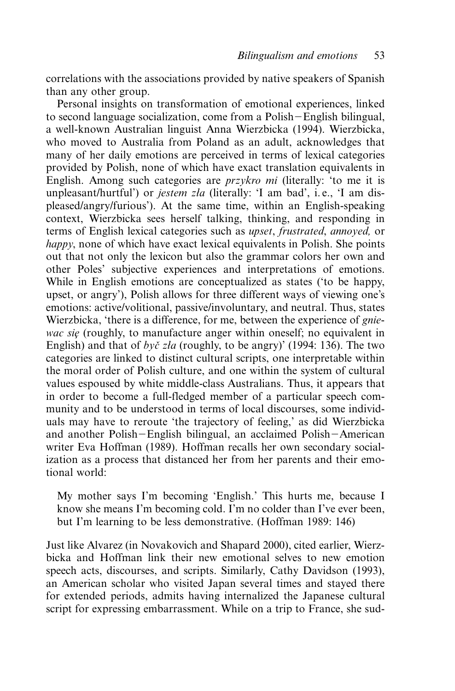correlations with the associations provided by native speakers of Spanish than any other group.

Personal insights on transformation of emotional experiences, linked to second language socialization, come from a Polish-English bilingual, a well-known Australian linguist Anna Wierzbicka (1994). Wierzbicka, who moved to Australia from Poland as an adult, acknowledges that many of her daily emotions are perceived in terms of lexical categories provided by Polish, none of which have exact translation equivalents in English. Among such categories are *przykro mi* (literally: 'to me it is unpleasant/hurtful') or *jestem zła* (literally: 'I am bad', i. e., 'I am displeased/angry/furious'). At the same time, within an English-speaking context, Wierzbicka sees herself talking, thinking, and responding in terms of English lexical categories such as *upset*, *frustrated*, *annoyed,* or *happy*, none of which have exact lexical equivalents in Polish. She points out that not only the lexicon but also the grammar colors her own and other Poles' subjective experiences and interpretations of emotions. While in English emotions are conceptualized as states ('to be happy, upset, or angry'), Polish allows for three different ways of viewing one's emotions: active/volitional, passive/involuntary, and neutral. Thus, states Wierzbicka, 'there is a difference, for me, between the experience of *gniewac sie* (roughly, to manufacture anger within oneself; no equivalent in English) and that of *byč zła* (roughly, to be angry)' (1994: 136). The two categories are linked to distinct cultural scripts, one interpretable within the moral order of Polish culture, and one within the system of cultural values espoused by white middle-class Australians. Thus, it appears that in order to become a full-fledged member of a particular speech community and to be understood in terms of local discourses, some individuals may have to reroute 'the trajectory of feeling,' as did Wierzbicka and another Polish-English bilingual, an acclaimed Polish-American writer Eva Hoffman (1989). Hoffman recalls her own secondary socialization as a process that distanced her from her parents and their emotional world:

My mother says I'm becoming 'English.' This hurts me, because I know she means I'm becoming cold. I'm no colder than I've ever been, but I'm learning to be less demonstrative. (Hoffman 1989: 146)

Just like Alvarez (in Novakovich and Shapard 2000), cited earlier, Wierzbicka and Hoffman link their new emotional selves to new emotion speech acts, discourses, and scripts. Similarly, Cathy Davidson (1993), an American scholar who visited Japan several times and stayed there for extended periods, admits having internalized the Japanese cultural script for expressing embarrassment. While on a trip to France, she sud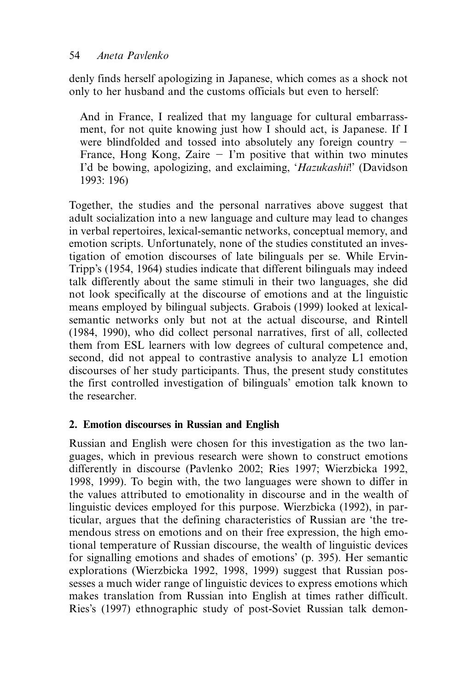denly finds herself apologizing in Japanese, which comes as a shock not only to her husband and the customs officials but even to herself:

And in France, I realized that my language for cultural embarrassment, for not quite knowing just how I should act, is Japanese. If I were blindfolded and tossed into absolutely any foreign country  $-$ France, Hong Kong, Zaire  $-$  I'm positive that within two minutes I'd be bowing, apologizing, and exclaiming, '*Hazukashii*!' (Davidson 1993: 196)

Together, the studies and the personal narratives above suggest that adult socialization into a new language and culture may lead to changes in verbal repertoires, lexical-semantic networks, conceptual memory, and emotion scripts. Unfortunately, none of the studies constituted an investigation of emotion discourses of late bilinguals per se. While Ervin-Tripp's (1954, 1964) studies indicate that different bilinguals may indeed talk differently about the same stimuli in their two languages, she did not look specifically at the discourse of emotions and at the linguistic means employed by bilingual subjects. Grabois (1999) looked at lexicalsemantic networks only but not at the actual discourse, and Rintell (1984, 1990), who did collect personal narratives, first of all, collected them from ESL learners with low degrees of cultural competence and, second, did not appeal to contrastive analysis to analyze L1 emotion discourses of her study participants. Thus, the present study constitutes the first controlled investigation of bilinguals' emotion talk known to the researcher.

### **2. Emotion discourses in Russian and English**

Russian and English were chosen for this investigation as the two languages, which in previous research were shown to construct emotions differently in discourse (Pavlenko 2002; Ries 1997; Wierzbicka 1992, 1998, 1999). To begin with, the two languages were shown to differ in the values attributed to emotionality in discourse and in the wealth of linguistic devices employed for this purpose. Wierzbicka (1992), in particular, argues that the defining characteristics of Russian are 'the tremendous stress on emotions and on their free expression, the high emotional temperature of Russian discourse, the wealth of linguistic devices for signalling emotions and shades of emotions' (p. 395). Her semantic explorations (Wierzbicka 1992, 1998, 1999) suggest that Russian possesses a much wider range of linguistic devices to express emotions which makes translation from Russian into English at times rather difficult. Ries's (1997) ethnographic study of post-Soviet Russian talk demon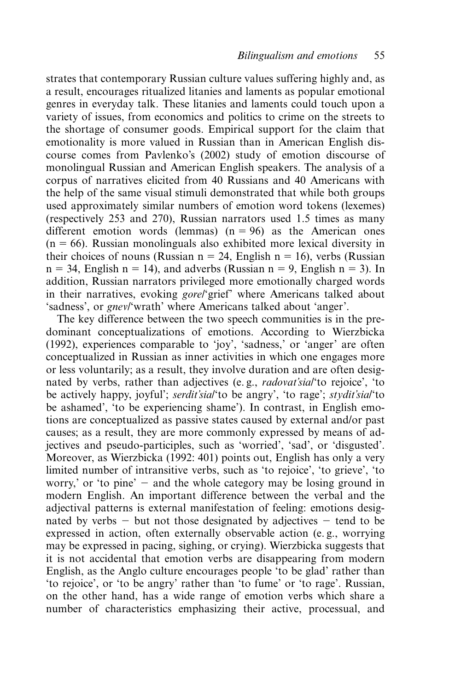strates that contemporary Russian culture values suffering highly and, as a result, encourages ritualized litanies and laments as popular emotional genres in everyday talk. These litanies and laments could touch upon a variety of issues, from economics and politics to crime on the streets to the shortage of consumer goods. Empirical support for the claim that emotionality is more valued in Russian than in American English discourse comes from Pavlenko's (2002) study of emotion discourse of monolingual Russian and American English speakers. The analysis of a corpus of narratives elicited from 40 Russians and 40 Americans with the help of the same visual stimuli demonstrated that while both groups used approximately similar numbers of emotion word tokens (lexemes) (respectively 253 and 270), Russian narrators used 1.5 times as many different emotion words (lemmas)  $(n = 96)$  as the American ones  $(n = 66)$ . Russian monolinguals also exhibited more lexical diversity in their choices of nouns (Russian  $n = 24$ , English  $n = 16$ ), verbs (Russian  $n = 34$ , English  $n = 14$ ), and adverbs (Russian  $n = 9$ , English  $n = 3$ ). In addition, Russian narrators privileged more emotionally charged words in their narratives, evoking *gore*/'grief' where Americans talked about 'sadness', or *gnev*/'wrath' where Americans talked about 'anger'.

The key difference between the two speech communities is in the predominant conceptualizations of emotions. According to Wierzbicka (1992), experiences comparable to 'joy', 'sadness,' or 'anger' are often conceptualized in Russian as inner activities in which one engages more or less voluntarily; as a result, they involve duration and are often designated by verbs, rather than adjectives (e. g., *radovat'sia*/'to rejoice', 'to be actively happy, joyful'; *serdit'sia*/'to be angry', 'to rage'; *stydit'sia*/'to be ashamed', 'to be experiencing shame'). In contrast, in English emotions are conceptualized as passive states caused by external and/or past causes; as a result, they are more commonly expressed by means of adjectives and pseudo-participles, such as 'worried', 'sad', or 'disgusted'. Moreover, as Wierzbicka (1992: 401) points out, English has only a very limited number of intransitive verbs, such as 'to rejoice', 'to grieve', 'to worry,' or 'to pine'  $-$  and the whole category may be losing ground in modern English. An important difference between the verbal and the adjectival patterns is external manifestation of feeling: emotions designated by verbs  $-$  but not those designated by adjectives  $-$  tend to be expressed in action, often externally observable action (e. g., worrying may be expressed in pacing, sighing, or crying). Wierzbicka suggests that it is not accidental that emotion verbs are disappearing from modern English, as the Anglo culture encourages people 'to be glad' rather than 'to rejoice', or 'to be angry' rather than 'to fume' or 'to rage'. Russian, on the other hand, has a wide range of emotion verbs which share a number of characteristics emphasizing their active, processual, and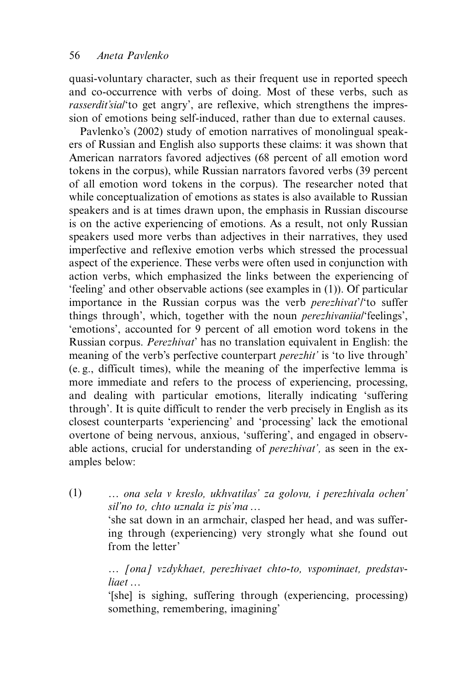quasi-voluntary character, such as their frequent use in reported speech and co-occurrence with verbs of doing. Most of these verbs, such as *rasserdit'sia*/'to get angry', are reflexive, which strengthens the impression of emotions being self-induced, rather than due to external causes.

Pavlenko's (2002) study of emotion narratives of monolingual speakers of Russian and English also supports these claims: it was shown that American narrators favored adjectives (68 percent of all emotion word tokens in the corpus), while Russian narrators favored verbs (39 percent of all emotion word tokens in the corpus). The researcher noted that while conceptualization of emotions as states is also available to Russian speakers and is at times drawn upon, the emphasis in Russian discourse is on the active experiencing of emotions. As a result, not only Russian speakers used more verbs than adjectives in their narratives, they used imperfective and reflexive emotion verbs which stressed the processual aspect of the experience. These verbs were often used in conjunction with action verbs, which emphasized the links between the experiencing of 'feeling' and other observable actions (see examples in (1)). Of particular importance in the Russian corpus was the verb *perezhivat*'/'to suffer things through', which, together with the noun *perezhivaniia*/'feelings', 'emotions', accounted for 9 percent of all emotion word tokens in the Russian corpus. *Perezhivat*' has no translation equivalent in English: the meaning of the verb's perfective counterpart *perezhit'* is 'to live through' (e. g., difficult times), while the meaning of the imperfective lemma is more immediate and refers to the process of experiencing, processing, and dealing with particular emotions, literally indicating 'suffering through'. It is quite difficult to render the verb precisely in English as its closest counterparts 'experiencing' and 'processing' lack the emotional overtone of being nervous, anxious, 'suffering', and engaged in observable actions, crucial for understanding of *perezhivat',* as seen in the examples below:

(1) *… ona sela v kreslo, ukhvatilas' za golovu, i perezhivala ochen' sil'no to, chto uznala iz pis'ma …*

> 'she sat down in an armchair, clasped her head, and was suffering through (experiencing) very strongly what she found out from the letter'

> *… [ona] vzdykhaet, perezhivaet chto-to, vspominaet, predstavliaet …*

> '[she] is sighing, suffering through (experiencing, processing) something, remembering, imagining'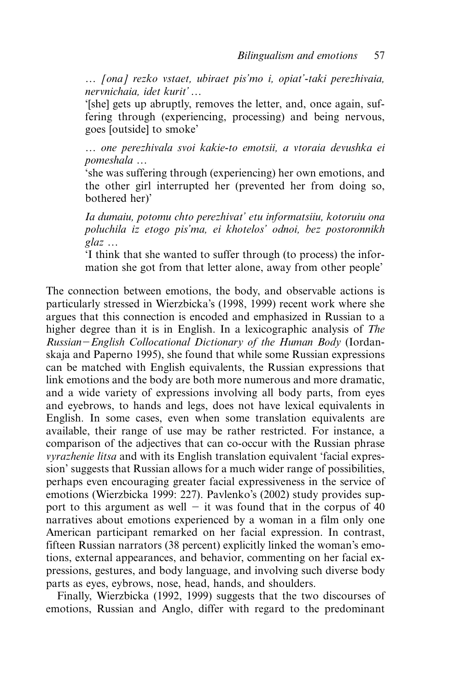*… [ona] rezko vstaet, ubiraet pis'mo i, opiat'-taki perezhivaia, nervnichaia, idet kurit' …*

'[she] gets up abruptly, removes the letter, and, once again, suffering through (experiencing, processing) and being nervous, goes [outside] to smoke'

*… one perezhivala svoi kakie-to emotsii, a vtoraia devushka ei pomeshala …*

'she was suffering through (experiencing) her own emotions, and the other girl interrupted her (prevented her from doing so, bothered her)'

*Ia dumaiu, potomu chto perezhivat' etu informatsiiu, kotoruiu ona poluchila iz etogo pis'ma, ei khotelos' odnoi, bez postoronnikh glaz …*

'I think that she wanted to suffer through (to process) the information she got from that letter alone, away from other people'

The connection between emotions, the body, and observable actions is particularly stressed in Wierzbicka's (1998, 1999) recent work where she argues that this connection is encoded and emphasized in Russian to a higher degree than it is in English. In a lexicographic analysis of *The RussianEnglish Collocational Dictionary of the Human Body* (Iordanskaja and Paperno 1995), she found that while some Russian expressions can be matched with English equivalents, the Russian expressions that link emotions and the body are both more numerous and more dramatic, and a wide variety of expressions involving all body parts, from eyes and eyebrows, to hands and legs, does not have lexical equivalents in English. In some cases, even when some translation equivalents are available, their range of use may be rather restricted. For instance, a comparison of the adjectives that can co-occur with the Russian phrase *vyrazhenie litsa* and with its English translation equivalent 'facial expression' suggests that Russian allows for a much wider range of possibilities, perhaps even encouraging greater facial expressiveness in the service of emotions (Wierzbicka 1999: 227). Pavlenko's (2002) study provides support to this argument as well – it was found that in the corpus of  $\overline{40}$ narratives about emotions experienced by a woman in a film only one American participant remarked on her facial expression. In contrast, fifteen Russian narrators (38 percent) explicitly linked the woman's emotions, external appearances, and behavior, commenting on her facial expressions, gestures, and body language, and involving such diverse body parts as eyes, eybrows, nose, head, hands, and shoulders.

Finally, Wierzbicka (1992, 1999) suggests that the two discourses of emotions, Russian and Anglo, differ with regard to the predominant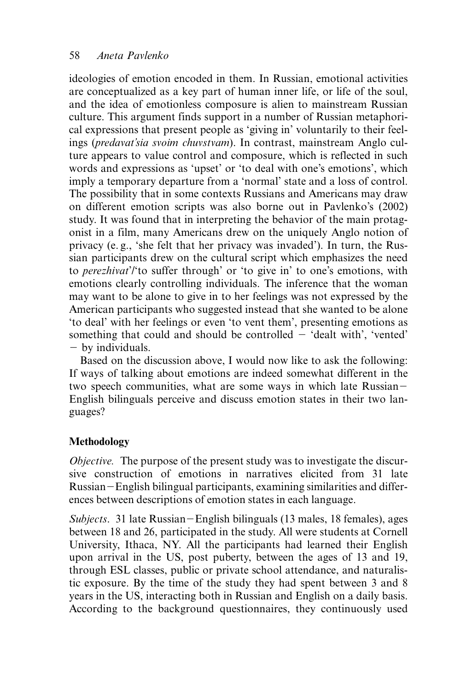ideologies of emotion encoded in them. In Russian, emotional activities are conceptualized as a key part of human inner life, or life of the soul, and the idea of emotionless composure is alien to mainstream Russian culture. This argument finds support in a number of Russian metaphorical expressions that present people as 'giving in' voluntarily to their feelings (*predavat'sia svoim chuvstvam*). In contrast, mainstream Anglo culture appears to value control and composure, which is reflected in such words and expressions as 'upset' or 'to deal with one's emotions', which imply a temporary departure from a 'normal' state and a loss of control. The possibility that in some contexts Russians and Americans may draw on different emotion scripts was also borne out in Pavlenko's (2002) study. It was found that in interpreting the behavior of the main protagonist in a film, many Americans drew on the uniquely Anglo notion of privacy (e. g., 'she felt that her privacy was invaded'). In turn, the Russian participants drew on the cultural script which emphasizes the need to *perezhivat*'/'to suffer through' or 'to give in' to one's emotions, with emotions clearly controlling individuals. The inference that the woman may want to be alone to give in to her feelings was not expressed by the American participants who suggested instead that she wanted to be alone 'to deal' with her feelings or even 'to vent them', presenting emotions as something that could and should be controlled  $-$  'dealt with', 'vented' by individuals.

Based on the discussion above, I would now like to ask the following: If ways of talking about emotions are indeed somewhat different in the two speech communities, what are some ways in which late Russian English bilinguals perceive and discuss emotion states in their two languages?

## **Methodology**

*Objective.* The purpose of the present study was to investigate the discursive construction of emotions in narratives elicited from 31 late Russian – English bilingual participants, examining similarities and differences between descriptions of emotion states in each language.

*Subjects*. 31 late Russian–English bilinguals (13 males, 18 females), ages between 18 and 26, participated in the study. All were students at Cornell University, Ithaca, NY. All the participants had learned their English upon arrival in the US, post puberty, between the ages of 13 and 19, through ESL classes, public or private school attendance, and naturalistic exposure. By the time of the study they had spent between 3 and 8 years in the US, interacting both in Russian and English on a daily basis. According to the background questionnaires, they continuously used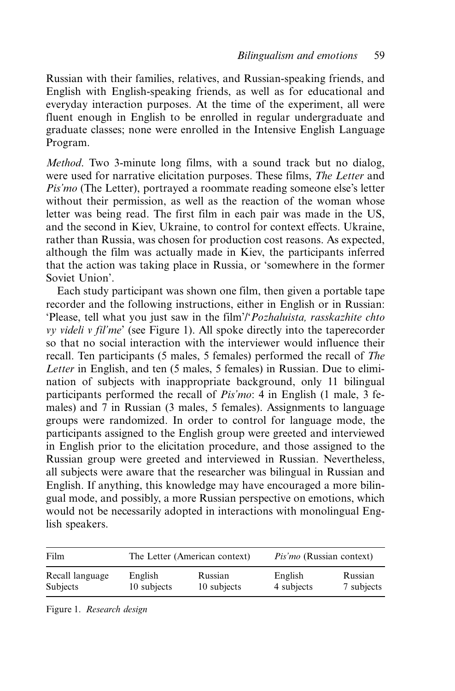Russian with their families, relatives, and Russian-speaking friends, and English with English-speaking friends, as well as for educational and everyday interaction purposes. At the time of the experiment, all were fluent enough in English to be enrolled in regular undergraduate and graduate classes; none were enrolled in the Intensive English Language Program.

*Method*. Two 3-minute long films, with a sound track but no dialog, were used for narrative elicitation purposes. These films, *The Letter* and *Pis'mo* (The Letter), portrayed a roommate reading someone else's letter without their permission, as well as the reaction of the woman whose letter was being read. The first film in each pair was made in the US, and the second in Kiev, Ukraine, to control for context effects. Ukraine, rather than Russia, was chosen for production cost reasons. As expected, although the film was actually made in Kiev, the participants inferred that the action was taking place in Russia, or 'somewhere in the former Soviet Union'.

Each study participant was shown one film, then given a portable tape recorder and the following instructions, either in English or in Russian: 'Please, tell what you just saw in the film'/'*Pozhaluista, rasskazhite chto vy videli v fil'me*' (see Figure 1). All spoke directly into the taperecorder so that no social interaction with the interviewer would influence their recall. Ten participants (5 males, 5 females) performed the recall of *The Letter* in English, and ten (5 males, 5 females) in Russian. Due to elimination of subjects with inappropriate background, only 11 bilingual participants performed the recall of *Pis'mo*: 4 in English (1 male, 3 females) and 7 in Russian (3 males, 5 females). Assignments to language groups were randomized. In order to control for language mode, the participants assigned to the English group were greeted and interviewed in English prior to the elicitation procedure, and those assigned to the Russian group were greeted and interviewed in Russian. Nevertheless, all subjects were aware that the researcher was bilingual in Russian and English. If anything, this knowledge may have encouraged a more bilingual mode, and possibly, a more Russian perspective on emotions, which would not be necessarily adopted in interactions with monolingual English speakers.

| Film            | The Letter (American context) |             | <i>Pis'mo</i> (Russian context) |            |
|-----------------|-------------------------------|-------------|---------------------------------|------------|
| Recall language | English                       | Russian     | English                         | Russian    |
| <b>Subjects</b> | 10 subjects                   | 10 subjects | 4 subjects                      | 7 subjects |

Figure 1. *Research design*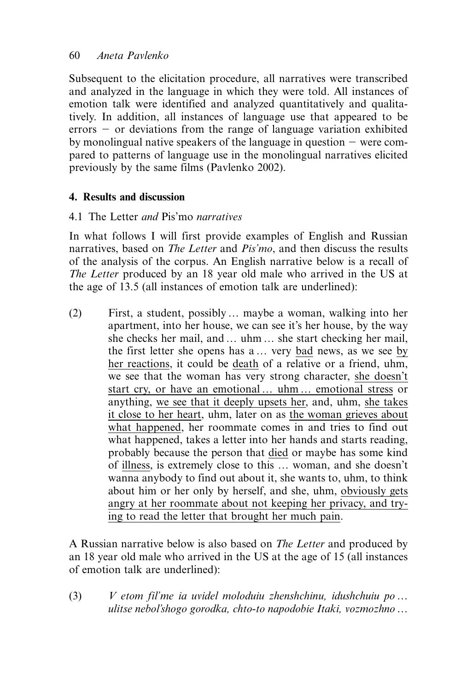Subsequent to the elicitation procedure, all narratives were transcribed and analyzed in the language in which they were told. All instances of emotion talk were identified and analyzed quantitatively and qualitatively. In addition, all instances of language use that appeared to be  $errors - or deviations from the range of language variation exhibited$ by monolingual native speakers of the language in question  $-$  were compared to patterns of language use in the monolingual narratives elicited previously by the same films (Pavlenko 2002).

### **4. Results and discussion**

### 4.1 The Letter *and* Pis'mo *narratives*

In what follows I will first provide examples of English and Russian narratives, based on *The Letter* and *Pis'mo*, and then discuss the results of the analysis of the corpus. An English narrative below is a recall of *The Letter* produced by an 18 year old male who arrived in the US at the age of 13.5 (all instances of emotion talk are underlined):

(2) First, a student, possibly … maybe a woman, walking into her apartment, into her house, we can see it's her house, by the way she checks her mail, and … uhm … she start checking her mail, the first letter she opens has a … very bad news, as we see by her reactions, it could be death of a relative or a friend, uhm, we see that the woman has very strong character, she doesn't start cry, or have an emotional … uhm … emotional stress or anything, we see that it deeply upsets her, and, uhm, she takes it close to her heart, uhm, later on as the woman grieves about what happened, her roommate comes in and tries to find out what happened, takes a letter into her hands and starts reading, probably because the person that died or maybe has some kind of illness, is extremely close to this … woman, and she doesn't wanna anybody to find out about it, she wants to, uhm, to think about him or her only by herself, and she, uhm, obviously gets angry at her roommate about not keeping her privacy, and trying to read the letter that brought her much pain.

A Russian narrative below is also based on *The Letter* and produced by an 18 year old male who arrived in the US at the age of 15 (all instances of emotion talk are underlined):

(3) *V etom fil'me ia uvidel moloduiu zhenshchinu, idushchuiu po … ulitse nebol'shogo gorodka, chto-to napodobie Itaki, vozmozhno …*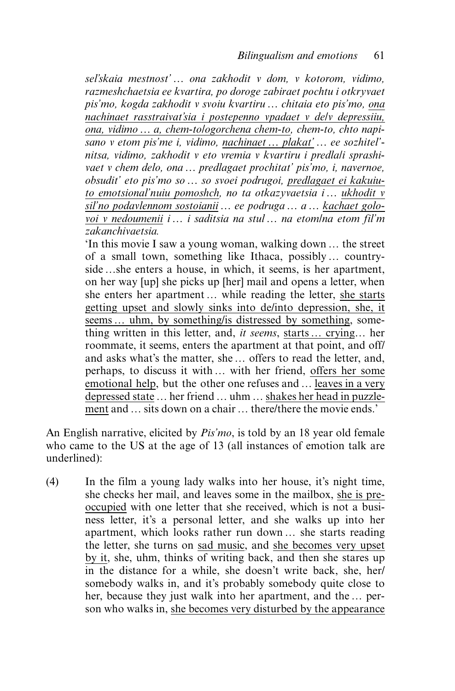*sel'skaia mestnost' … ona zakhodit v dom, v kotorom, vidimo, razmeshchaetsia ee kvartira, po doroge zabiraet pochtu i otkryvaet pis'mo, kogda zakhodit v svoiu kvartiru … chitaia eto pis'mo, ona nachinaet rasstraivat'sia i postepenno vpadaet v de/v depressiiu, ona, vidimo … a, chem-to/ogorchena chem-to, chem-to, chto napisano v etom pis'me i, vidimo, nachinaet … plakat' … ee sozhitel' nitsa, vidimo, zakhodit v eto vremia v kvartiru i predla/i sprashivaet v chem delo, ona … predlagaet prochitat' pis'mo, i, navernoe, obsudit' eto pis'mo so … so svoei podrugoi, predlagaet ei kakuiuto emotsional'nuiu pomoshch, no ta otkazyvaetsia i … ukhodit v sil'no podavlennom sostoianii … ee podruga … a … kachaet golovoi v nedoumenii i … i saditsia na stul … na etom/na etom fil'm zakanchivaetsia.*

'In this movie I saw a young woman, walking down … the street of a small town, something like Ithaca, possibly … countryside …she enters a house, in which, it seems, is her apartment, on her way [up] she picks up [her] mail and opens a letter, when she enters her apartment … while reading the letter, she starts getting upset and slowly sinks into de/into depression, she, it seems … uhm, by something/is distressed by something, something written in this letter, and, *it seems*, starts … crying… her roommate, it seems, enters the apartment at that point, and off/ and asks what's the matter, she … offers to read the letter, and, perhaps, to discuss it with … with her friend, offers her some emotional help, but the other one refuses and … leaves in a very depressed state … her friend … uhm … shakes her head in puzzlement and … sits down on a chair … there/there the movie ends.'

An English narrative, elicited by *Pis'mo*, is told by an 18 year old female who came to the US at the age of 13 (all instances of emotion talk are underlined):

(4) In the film a young lady walks into her house, it's night time, she checks her mail, and leaves some in the mailbox, she is preoccupied with one letter that she received, which is not a business letter, it's a personal letter, and she walks up into her apartment, which looks rather run down … she starts reading the letter, she turns on sad music, and she becomes very upset by it, she, uhm, thinks of writing back, and then she stares up in the distance for a while, she doesn't write back, she, her/ somebody walks in, and it's probably somebody quite close to her, because they just walk into her apartment, and the … person who walks in, she becomes very disturbed by the appearance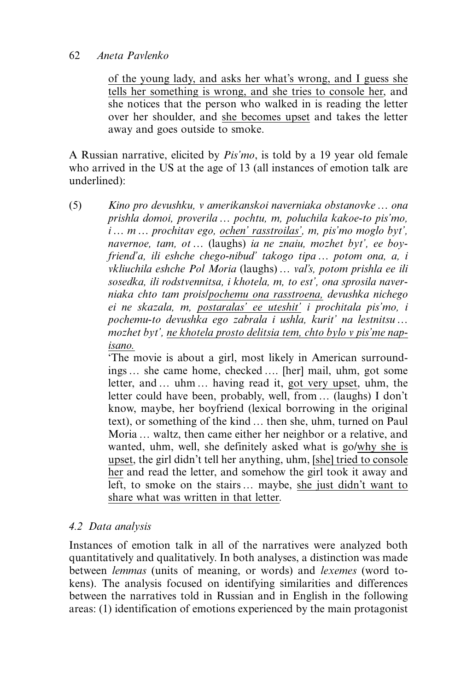#### 62 *Aneta Pavlenko*

of the young lady, and asks her what's wrong, and I guess she tells her something is wrong, and she tries to console her, and she notices that the person who walked in is reading the letter over her shoulder, and she becomes upset and takes the letter away and goes outside to smoke.

A Russian narrative, elicited by *Pis'mo*, is told by a 19 year old female who arrived in the US at the age of 13 (all instances of emotion talk are underlined):

(5) *Kino pro devushku, v amerikanskoi naverniaka obstanovke … ona prishla domoi, proverila … pochtu, m, poluchila kakoe-to pis'mo, i … m … prochitav ego, ochen' rasstroilas', m, pis'mo moglo byt', navernoe, tam, ot …* (laughs) *ia ne znaiu, mozhet byt', ee boyfriend'a, ili eshche chego-nibud' takogo tipa … potom ona, a, i vkliuchila eshche Pol Moria* (laughs) *… val's, potom prishla ee ili sosedka, ili rodstvennitsa, i khotela, m, to est', ona sprosila naverniaka chto tam prois/pochemu ona rasstroena, devushka nichego ei ne skazala, m, postaralas' ee uteshit' i prochitala pis'mo, i pochemu-to devushka ego zabrala i ushla, kurit' na lestnitsu … mozhet byt', ne khotela prosto delitsia tem, chto bylo v pis'me napisano.*

> 'The movie is about a girl, most likely in American surroundings … she came home, checked …. [her] mail, uhm, got some letter, and … uhm … having read it, got very upset, uhm, the letter could have been, probably, well, from … (laughs) I don't know, maybe, her boyfriend (lexical borrowing in the original text), or something of the kind … then she, uhm, turned on Paul Moria … waltz, then came either her neighbor or a relative, and wanted, uhm, well, she definitely asked what is go/why she is upset, the girl didn't tell her anything, uhm, [she] tried to console her and read the letter, and somehow the girl took it away and left, to smoke on the stairs … maybe, she just didn't want to share what was written in that letter.

### *4.2 Data analysis*

Instances of emotion talk in all of the narratives were analyzed both quantitatively and qualitatively. In both analyses, a distinction was made between *lemmas* (units of meaning, or words) and *lexemes* (word tokens). The analysis focused on identifying similarities and differences between the narratives told in Russian and in English in the following areas: (1) identification of emotions experienced by the main protagonist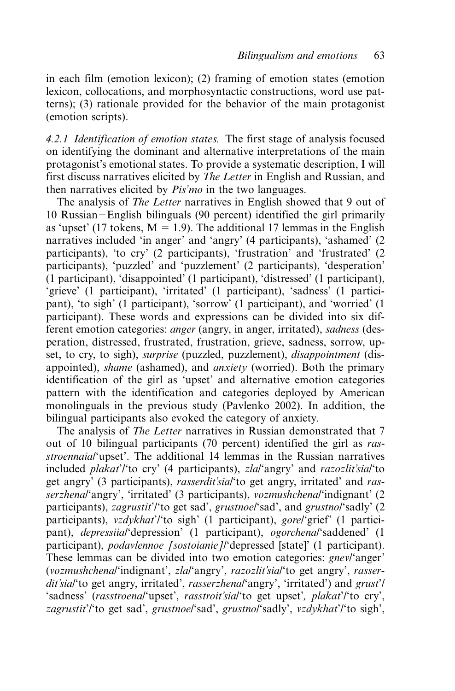in each film (emotion lexicon); (2) framing of emotion states (emotion lexicon, collocations, and morphosyntactic constructions, word use patterns); (3) rationale provided for the behavior of the main protagonist (emotion scripts).

*4.2.1 Identification of emotion states.* The first stage of analysis focused on identifying the dominant and alternative interpretations of the main protagonist's emotional states. To provide a systematic description, I will first discuss narratives elicited by *The Letter* in English and Russian, and then narratives elicited by *Pis'mo* in the two languages.

The analysis of *The Letter* narratives in English showed that 9 out of  $10$  Russian-English bilinguals (90 percent) identified the girl primarily as 'upset' (17 tokens,  $M = 1.9$ ). The additional 17 lemmas in the English narratives included 'in anger' and 'angry' (4 participants), 'ashamed' (2 participants), 'to cry' (2 participants), 'frustration' and 'frustrated' (2 participants), 'puzzled' and 'puzzlement' (2 participants), 'desperation' (1 participant), 'disappointed' (1 participant), 'distressed' (1 participant), 'grieve' (1 participant), 'irritated' (1 participant), 'sadness' (1 participant), 'to sigh' (1 participant), 'sorrow' (1 participant), and 'worried' (1 participant). These words and expressions can be divided into six different emotion categories: *anger* (angry, in anger, irritated), *sadness* (desperation, distressed, frustrated, frustration, grieve, sadness, sorrow, upset, to cry, to sigh), *surprise* (puzzled, puzzlement), *disappointment* (disappointed), *shame* (ashamed), and *anxiety* (worried). Both the primary identification of the girl as 'upset' and alternative emotion categories pattern with the identification and categories deployed by American monolinguals in the previous study (Pavlenko 2002). In addition, the bilingual participants also evoked the category of anxiety.

The analysis of *The Letter* narratives in Russian demonstrated that 7 out of 10 bilingual participants (70 percent) identified the girl as *rasstroennaia*/'upset'. The additional 14 lemmas in the Russian narratives included *plakat*'/'to cry' (4 participants), *zla*/'angry' and *razozlit'sia*/'to get angry' (3 participants), *rasserdit'sia*/'to get angry, irritated' and *rasserzhena*/'angry', 'irritated' (3 participants), *vozmushchena*/'indignant' (2 participants), *zagrustit*'/'to get sad', *grustnoe*/'sad', and *grustno*/'sadly' (2 participants), *vzdykhat*'/'to sigh' (1 participant), *gore*/'grief' (1 participant), *depressiia*/'depression' (1 participant), *ogorchena*/'saddened' (1 participant), *podavlennoe [sostoianie]*/'depressed [state]' (1 participant). These lemmas can be divided into two emotion categories: *gnev*/'anger' (*vozmushchena*/'indignant', *zla*/'angry', *razozlit'sia*/'to get angry', *rasserdit'sia*/'to get angry, irritated', *rasserzhena*/'angry', 'irritated') and *grust*'/ 'sadness' (*rasstroena*/'upset', *rasstroit'sia*/'to get upset'*, plakat*'/'to cry', *zagrustit*'/'to get sad', *grustnoe*/'sad', *grustno*/'sadly', *vzdykhat*'/'to sigh',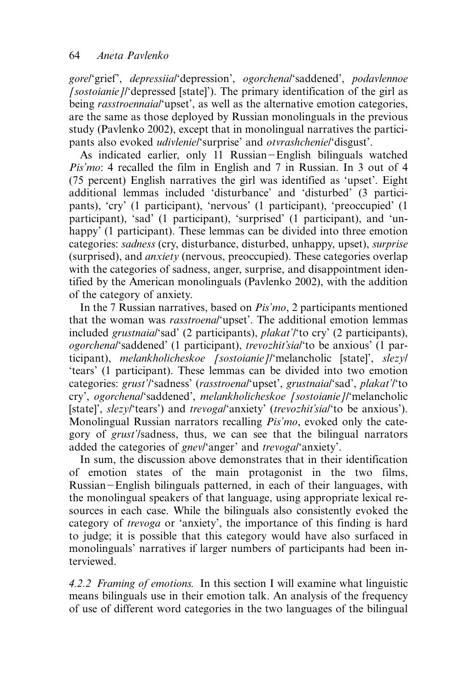*gore*/'grief', *depressiia*/'depression', *ogorchena*/'saddened', *podavlennoe [sostoianie]*/'depressed [state]'). The primary identification of the girl as being *rasstroennaia*/'upset', as well as the alternative emotion categories, are the same as those deployed by Russian monolinguals in the previous study (Pavlenko 2002), except that in monolingual narratives the participants also evoked *udivlenie*/'surprise' and *otvrashchenie*/'disgust'.

As indicated earlier, only 11 Russian-English bilinguals watched *Pis'mo*: 4 recalled the film in English and 7 in Russian. In 3 out of 4 (75 percent) English narratives the girl was identified as 'upset'. Eight additional lemmas included 'disturbance' and 'disturbed' (3 participants), 'cry' (1 participant), 'nervous' (1 participant), 'preoccupied' (1 participant), 'sad' (1 participant), 'surprised' (1 participant), and 'unhappy' (1 participant). These lemmas can be divided into three emotion categories: *sadness* (cry, disturbance, disturbed, unhappy, upset), *surprise* (surprised), and *anxiety* (nervous, preoccupied). These categories overlap with the categories of sadness, anger, surprise, and disappointment identified by the American monolinguals (Pavlenko 2002), with the addition of the category of anxiety.

In the 7 Russian narratives, based on *Pis'mo*, 2 participants mentioned that the woman was *rasstroena*/'upset'. The additional emotion lemmas included *grustnaia*/'sad' (2 participants), *plakat'*/'to cry' (2 participants), *ogorchena*/'saddened' (1 participant), *trevozhit'sia*/'to be anxious' (1 participant), *melankholicheskoe [sostoianie]*/'melancholic [state]', *slezy*/ 'tears' (1 participant). These lemmas can be divided into two emotion categories: *grust'*/'sadness' (*rasstroena*/'upset', *grustnaia*/'sad', *plakat'*/'to cry', *ogorchena*/'saddened', *melankholicheskoe [sostoianie]*/'melancholic [state]', *slezy*/'tears') and *trevoga*/'anxiety' (*trevozhit'sia*/'to be anxious'). Monolingual Russian narrators recalling *Pis'mo*, evoked only the category of *grust'*/sadness, thus, we can see that the bilingual narrators added the categories of *gnev*/'anger' and *trevoga*/'anxiety'.

In sum, the discussion above demonstrates that in their identification of emotion states of the main protagonist in the two films, Russian-English bilinguals patterned, in each of their languages, with the monolingual speakers of that language, using appropriate lexical resources in each case. While the bilinguals also consistently evoked the category of *trevoga* or 'anxiety', the importance of this finding is hard to judge; it is possible that this category would have also surfaced in monolinguals' narratives if larger numbers of participants had been interviewed.

*4.2.2 Framing of emotions.* In this section I will examine what linguistic means bilinguals use in their emotion talk. An analysis of the frequency of use of different word categories in the two languages of the bilingual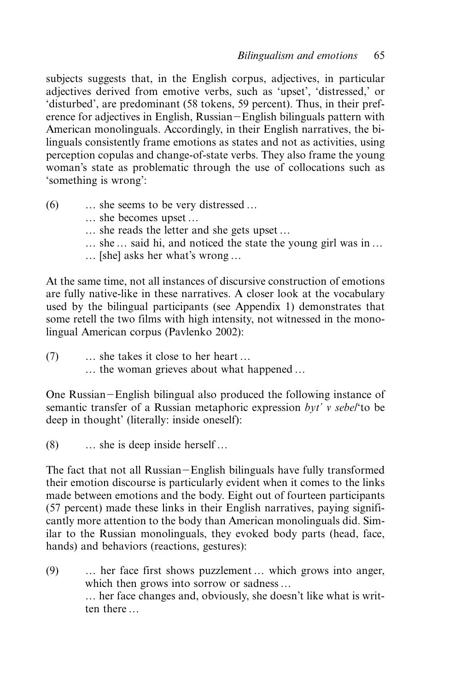subjects suggests that, in the English corpus, adjectives, in particular adjectives derived from emotive verbs, such as 'upset', 'distressed,' or 'disturbed', are predominant (58 tokens, 59 percent). Thus, in their preference for adjectives in English, Russian-English bilinguals pattern with American monolinguals. Accordingly, in their English narratives, the bilinguals consistently frame emotions as states and not as activities, using perception copulas and change-of-state verbs. They also frame the young woman's state as problematic through the use of collocations such as 'something is wrong':

- (6) … she seems to be very distressed …
	- … she becomes upset …
	- … she reads the letter and she gets upset …
	- … she … said hi, and noticed the state the young girl was in …
	- … [she] asks her what's wrong …

At the same time, not all instances of discursive construction of emotions are fully native-like in these narratives. A closer look at the vocabulary used by the bilingual participants (see Appendix 1) demonstrates that some retell the two films with high intensity, not witnessed in the monolingual American corpus (Pavlenko 2002):

(7) … she takes it close to her heart … … the woman grieves about what happened …

One Russian-English bilingual also produced the following instance of semantic transfer of a Russian metaphoric expression *byt' v sebe*/'to be deep in thought' (literally: inside oneself):

(8) … she is deep inside herself …

The fact that not all Russian-English bilinguals have fully transformed their emotion discourse is particularly evident when it comes to the links made between emotions and the body. Eight out of fourteen participants (57 percent) made these links in their English narratives, paying significantly more attention to the body than American monolinguals did. Similar to the Russian monolinguals, they evoked body parts (head, face, hands) and behaviors (reactions, gestures):

(9) … her face first shows puzzlement … which grows into anger, which then grows into sorrow or sadness ... … her face changes and, obviously, she doesn't like what is written there …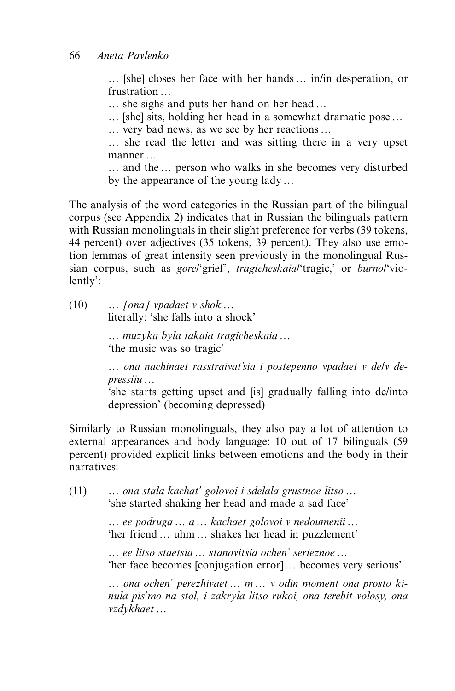… [she] closes her face with her hands … in/in desperation, or frustration …

… she sighs and puts her hand on her head …

… [she] sits, holding her head in a somewhat dramatic pose …

… very bad news, as we see by her reactions …

… she read the letter and was sitting there in a very upset manner …

… and the … person who walks in she becomes very disturbed by the appearance of the young lady …

The analysis of the word categories in the Russian part of the bilingual corpus (see Appendix 2) indicates that in Russian the bilinguals pattern with Russian monolinguals in their slight preference for verbs (39 tokens, 44 percent) over adjectives (35 tokens, 39 percent). They also use emotion lemmas of great intensity seen previously in the monolingual Russian corpus, such as *gore*/'grief', *tragicheskaia*/'tragic,' or *burno*/'violently':

(10) … *[ona] vpadaet v shok* … literally: 'she falls into a shock'

> … *muzyka byla takaia tragicheskaia* … 'the music was so tragic'

… *ona nachinaet rasstraivat'sia i postepenno vpadaet v de/v depressiiu* …

'she starts getting upset and [is] gradually falling into de/into depression' (becoming depressed)

Similarly to Russian monolinguals, they also pay a lot of attention to external appearances and body language: 10 out of 17 bilinguals (59 percent) provided explicit links between emotions and the body in their narratives:

(11) … *ona stala kachat' golovoi i sdelala grustnoe litso* … 'she started shaking her head and made a sad face' … *ee podruga … a … kachaet golovoi v nedoumenii* … 'her friend … uhm … shakes her head in puzzlement' … *ee litso staetsia … stanovitsia ochen' serieznoe* … 'her face becomes [conjugation error] … becomes very serious' … *ona ochen' perezhivaet … m … v odin moment ona prosto kinula pis'mo na stol, i zakryla litso rukoi, ona terebit volosy, ona vzdykhaet* …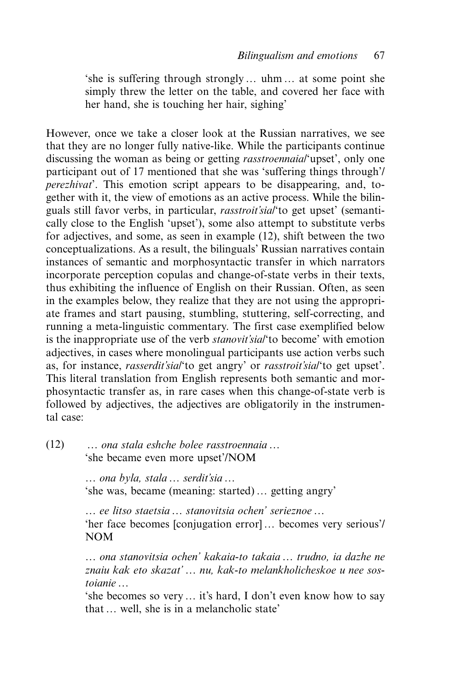'she is suffering through strongly … uhm … at some point she simply threw the letter on the table, and covered her face with her hand, she is touching her hair, sighing'

However, once we take a closer look at the Russian narratives, we see that they are no longer fully native-like. While the participants continue discussing the woman as being or getting *rasstroennaia*/'upset', only one participant out of 17 mentioned that she was 'suffering things through'/ *perezhivat*'. This emotion script appears to be disappearing, and, together with it, the view of emotions as an active process. While the bilinguals still favor verbs, in particular, *rasstroit'sia*/'to get upset' (semantically close to the English 'upset'), some also attempt to substitute verbs for adjectives, and some, as seen in example (12), shift between the two conceptualizations. As a result, the bilinguals' Russian narratives contain instances of semantic and morphosyntactic transfer in which narrators incorporate perception copulas and change-of-state verbs in their texts, thus exhibiting the influence of English on their Russian. Often, as seen in the examples below, they realize that they are not using the appropriate frames and start pausing, stumbling, stuttering, self-correcting, and running a meta-linguistic commentary. The first case exemplified below is the inappropriate use of the verb *stanovit'sia*/'to become' with emotion adjectives, in cases where monolingual participants use action verbs such as, for instance, *rasserdit'sia*/'to get angry' or *rasstroit'sia*/'to get upset'. This literal translation from English represents both semantic and morphosyntactic transfer as, in rare cases when this change-of-state verb is followed by adjectives, the adjectives are obligatorily in the instrumental case:

(12) *… ona stala eshche bolee rasstroennaia …* 'she became even more upset'/NOM

> *… ona byla, stala … serdit'sia …* 'she was, became (meaning: started) … getting angry'

*… ee litso staetsia … stanovitsia ochen' serieznoe …* 'her face becomes [conjugation error] … becomes very serious'/ NOM

*… ona stanovitsia ochen' kakaia-to takaia … trudno, ia dazhe ne znaiu kak eto skazat' … nu, kak-to melankholicheskoe u nee sostoianie …*

'she becomes so very … it's hard, I don't even know how to say that … well, she is in a melancholic state'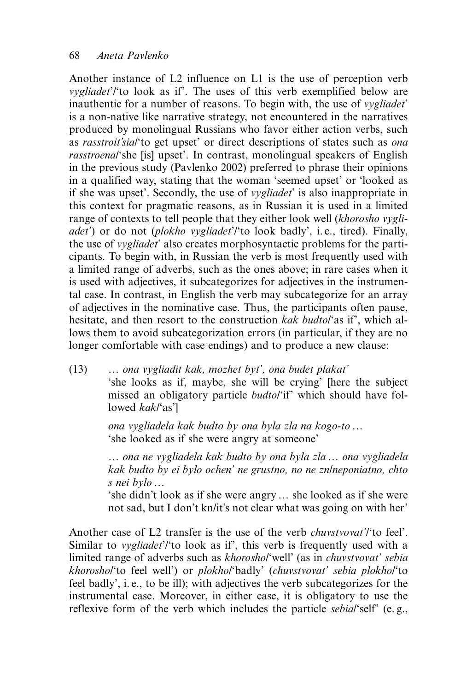Another instance of L2 influence on L1 is the use of perception verb *vygliadet*'/'to look as if'. The uses of this verb exemplified below are inauthentic for a number of reasons. To begin with, the use of *vygliadet*' is a non-native like narrative strategy, not encountered in the narratives produced by monolingual Russians who favor either action verbs, such as *rasstroit'sia*/'to get upset' or direct descriptions of states such as *ona rasstroena*/'she [is] upset'. In contrast, monolingual speakers of English in the previous study (Pavlenko 2002) preferred to phrase their opinions in a qualified way, stating that the woman 'seemed upset' or 'looked as if she was upset'. Secondly, the use of *vygliadet*' is also inappropriate in this context for pragmatic reasons, as in Russian it is used in a limited range of contexts to tell people that they either look well (*khorosho vygliadet'*) or do not (*plokho vygliadet*'/'to look badly', i. e., tired). Finally, the use of *vygliadet*' also creates morphosyntactic problems for the participants. To begin with, in Russian the verb is most frequently used with a limited range of adverbs, such as the ones above; in rare cases when it is used with adjectives, it subcategorizes for adjectives in the instrumental case. In contrast, in English the verb may subcategorize for an array of adjectives in the nominative case. Thus, the participants often pause, hesitate, and then resort to the construction *kak budto*/'as if', which allows them to avoid subcategorization errors (in particular, if they are no longer comfortable with case endings) and to produce a new clause:

(13) … *ona vygliadit kak, mozhet byt', ona budet plakat'* 'she looks as if, maybe, she will be crying' [here the subject missed an obligatory particle *budto*/'if' which should have followed *kak*/'as']

> *ona vygliadela kak budto by ona byla zla na kogo-to* … 'she looked as if she were angry at someone'

… *ona ne vygliadela kak budto by ona byla zla … ona vygliadela kak budto by ei bylo ochen' ne grustno, no ne zn/neponiatno, chto s nei bylo …*

'she didn't look as if she were angry … she looked as if she were not sad, but I don't kn/it's not clear what was going on with her'

Another case of L2 transfer is the use of the verb *chuvstvovat'*/'to feel'. Similar to *vygliadet*'/'to look as if', this verb is frequently used with a limited range of adverbs such as *khorosho*/'well' (as in *chuvstvovat' sebia khorosho*/'to feel well') or *plokho*/'badly' (*chuvstvovat' sebia plokho*/'to feel badly', i. e., to be ill); with adjectives the verb subcategorizes for the instrumental case. Moreover, in either case, it is obligatory to use the reflexive form of the verb which includes the particle *sebia*/'self' (e. g.,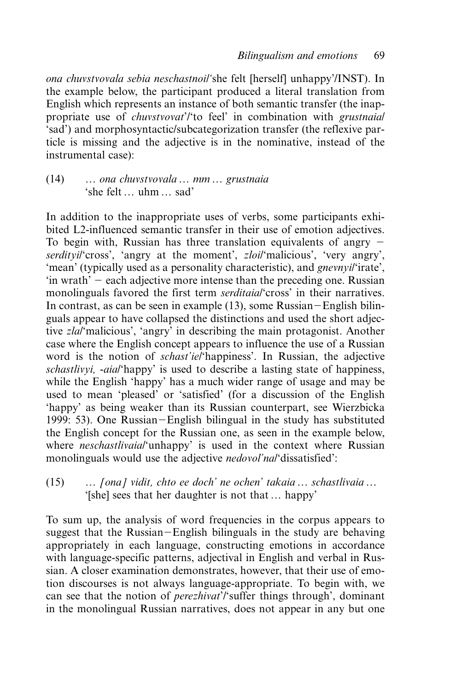*ona chuvstvovala sebia neschastnoi/'*she felt [herself] unhappy'/INST). In the example below, the participant produced a literal translation from English which represents an instance of both semantic transfer (the inappropriate use of *chuvstvovat*'/'to feel' in combination with *grustnaia*/ 'sad') and morphosyntactic/subcategorization transfer (the reflexive particle is missing and the adjective is in the nominative, instead of the instrumental case):

(14) … *ona chuvstvovala … mm … grustnaia* 'she felt … uhm … sad'

In addition to the inappropriate uses of verbs, some participants exhibited L2-influenced semantic transfer in their use of emotion adjectives. To begin with, Russian has three translation equivalents of angry  $$ *serdityi*/'cross', 'angry at the moment', *zloi*/'malicious', 'very angry', 'mean' (typically used as a personality characteristic), and *gnevnyi*/'irate', 'in wrath'  $-$  each adjective more intense than the preceding one. Russian monolinguals favored the first term *serditaia*/'cross' in their narratives. In contrast, as can be seen in example  $(13)$ , some Russian-English bilinguals appear to have collapsed the distinctions and used the short adjective *zla*/'malicious', 'angry' in describing the main protagonist. Another case where the English concept appears to influence the use of a Russian word is the notion of *schast'ie*/'happiness'. In Russian, the adjective *schastlivyi, -aia*/'happy' is used to describe a lasting state of happiness, while the English 'happy' has a much wider range of usage and may be used to mean 'pleased' or 'satisfied' (for a discussion of the English 'happy' as being weaker than its Russian counterpart, see Wierzbicka 1999: 53). One Russian-English bilingual in the study has substituted the English concept for the Russian one, as seen in the example below, where *neschastlivaia*/'unhappy' is used in the context where Russian monolinguals would use the adjective *nedovol'nal*'dissatisfied':

(15) … *[ona] vidit, chto ee doch' ne ochen' takaia … schastlivaia …* '[she] sees that her daughter is not that … happy'

To sum up, the analysis of word frequencies in the corpus appears to suggest that the Russian-English bilinguals in the study are behaving appropriately in each language, constructing emotions in accordance with language-specific patterns, adjectival in English and verbal in Russian. A closer examination demonstrates, however, that their use of emotion discourses is not always language-appropriate. To begin with, we can see that the notion of *perezhivat*'/'suffer things through', dominant in the monolingual Russian narratives, does not appear in any but one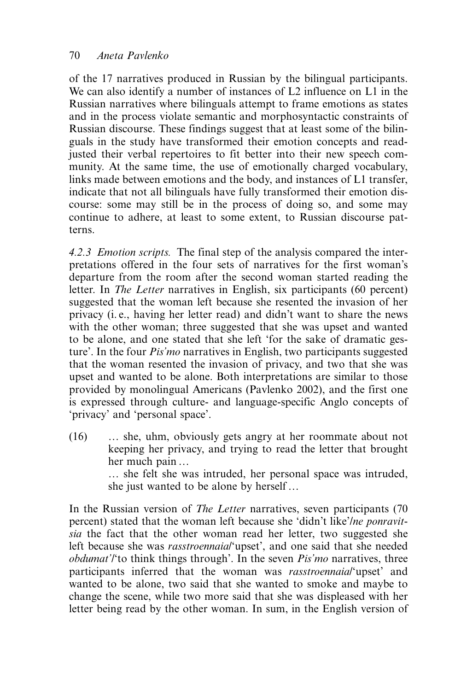of the 17 narratives produced in Russian by the bilingual participants. We can also identify a number of instances of L2 influence on L1 in the Russian narratives where bilinguals attempt to frame emotions as states and in the process violate semantic and morphosyntactic constraints of Russian discourse. These findings suggest that at least some of the bilinguals in the study have transformed their emotion concepts and readjusted their verbal repertoires to fit better into their new speech community. At the same time, the use of emotionally charged vocabulary, links made between emotions and the body, and instances of L1 transfer, indicate that not all bilinguals have fully transformed their emotion discourse: some may still be in the process of doing so, and some may continue to adhere, at least to some extent, to Russian discourse patterns.

*4.2.3 Emotion scripts.* The final step of the analysis compared the interpretations offered in the four sets of narratives for the first woman's departure from the room after the second woman started reading the letter. In *The Letter* narratives in English, six participants (60 percent) suggested that the woman left because she resented the invasion of her privacy (i. e., having her letter read) and didn't want to share the news with the other woman; three suggested that she was upset and wanted to be alone, and one stated that she left 'for the sake of dramatic gesture'. In the four *Pis'mo* narratives in English, two participants suggested that the woman resented the invasion of privacy, and two that she was upset and wanted to be alone. Both interpretations are similar to those provided by monolingual Americans (Pavlenko 2002), and the first one is expressed through culture- and language-specific Anglo concepts of 'privacy' and 'personal space'.

(16) … she, uhm, obviously gets angry at her roommate about not keeping her privacy, and trying to read the letter that brought her much pain … … she felt she was intruded, her personal space was intruded, she just wanted to be alone by herself ...

In the Russian version of *The Letter* narratives, seven participants (70 percent) stated that the woman left because she 'didn't like'/*ne ponravitsia* the fact that the other woman read her letter, two suggested she left because she was *rasstroennaia*/'upset', and one said that she needed *obdumat'*/'to think things through'. In the seven *Pis'mo* narratives, three participants inferred that the woman was *rasstroennaia*/'upset' and wanted to be alone, two said that she wanted to smoke and maybe to change the scene, while two more said that she was displeased with her letter being read by the other woman. In sum, in the English version of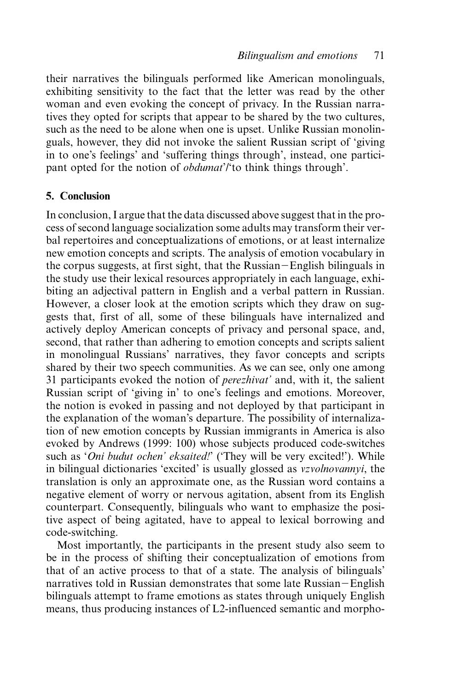their narratives the bilinguals performed like American monolinguals, exhibiting sensitivity to the fact that the letter was read by the other woman and even evoking the concept of privacy. In the Russian narratives they opted for scripts that appear to be shared by the two cultures, such as the need to be alone when one is upset. Unlike Russian monolinguals, however, they did not invoke the salient Russian script of 'giving in to one's feelings' and 'suffering things through', instead, one participant opted for the notion of *obdumat*'/'to think things through'.

#### **5. Conclusion**

In conclusion, I argue that the data discussed above suggest that in the process of second language socialization some adults may transform their verbal repertoires and conceptualizations of emotions, or at least internalize new emotion concepts and scripts. The analysis of emotion vocabulary in the corpus suggests, at first sight, that the Russian-English bilinguals in the study use their lexical resources appropriately in each language, exhibiting an adjectival pattern in English and a verbal pattern in Russian. However, a closer look at the emotion scripts which they draw on suggests that, first of all, some of these bilinguals have internalized and actively deploy American concepts of privacy and personal space, and, second, that rather than adhering to emotion concepts and scripts salient in monolingual Russians' narratives, they favor concepts and scripts shared by their two speech communities. As we can see, only one among 31 participants evoked the notion of *perezhivat'* and, with it, the salient Russian script of 'giving in' to one's feelings and emotions. Moreover, the notion is evoked in passing and not deployed by that participant in the explanation of the woman's departure. The possibility of internalization of new emotion concepts by Russian immigrants in America is also evoked by Andrews (1999: 100) whose subjects produced code-switches such as '*Oni budut ochen' eksaited!*' ('They will be very excited!'). While in bilingual dictionaries 'excited' is usually glossed as *vzvolnovannyi*, the translation is only an approximate one, as the Russian word contains a negative element of worry or nervous agitation, absent from its English counterpart. Consequently, bilinguals who want to emphasize the positive aspect of being agitated, have to appeal to lexical borrowing and code-switching.

Most importantly, the participants in the present study also seem to be in the process of shifting their conceptualization of emotions from that of an active process to that of a state. The analysis of bilinguals' narratives told in Russian demonstrates that some late Russian-English bilinguals attempt to frame emotions as states through uniquely English means, thus producing instances of L2-influenced semantic and morpho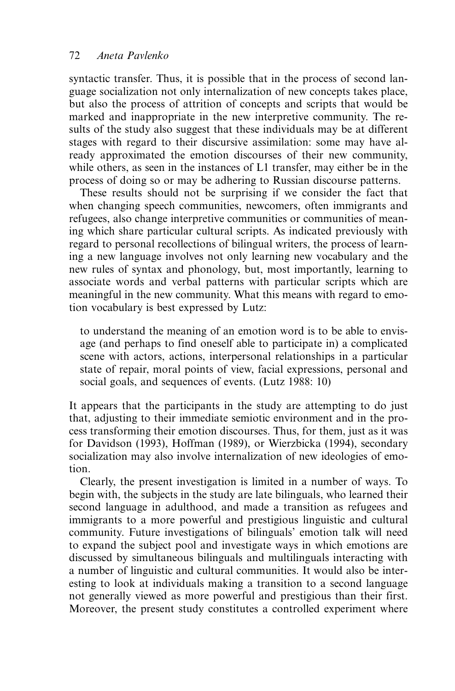syntactic transfer. Thus, it is possible that in the process of second language socialization not only internalization of new concepts takes place, but also the process of attrition of concepts and scripts that would be marked and inappropriate in the new interpretive community. The results of the study also suggest that these individuals may be at different stages with regard to their discursive assimilation: some may have already approximated the emotion discourses of their new community, while others, as seen in the instances of L1 transfer, may either be in the process of doing so or may be adhering to Russian discourse patterns.

These results should not be surprising if we consider the fact that when changing speech communities, newcomers, often immigrants and refugees, also change interpretive communities or communities of meaning which share particular cultural scripts. As indicated previously with regard to personal recollections of bilingual writers, the process of learning a new language involves not only learning new vocabulary and the new rules of syntax and phonology, but, most importantly, learning to associate words and verbal patterns with particular scripts which are meaningful in the new community. What this means with regard to emotion vocabulary is best expressed by Lutz:

to understand the meaning of an emotion word is to be able to envisage (and perhaps to find oneself able to participate in) a complicated scene with actors, actions, interpersonal relationships in a particular state of repair, moral points of view, facial expressions, personal and social goals, and sequences of events. (Lutz 1988: 10)

It appears that the participants in the study are attempting to do just that, adjusting to their immediate semiotic environment and in the process transforming their emotion discourses. Thus, for them, just as it was for Davidson (1993), Hoffman (1989), or Wierzbicka (1994), secondary socialization may also involve internalization of new ideologies of emotion.

Clearly, the present investigation is limited in a number of ways. To begin with, the subjects in the study are late bilinguals, who learned their second language in adulthood, and made a transition as refugees and immigrants to a more powerful and prestigious linguistic and cultural community. Future investigations of bilinguals' emotion talk will need to expand the subject pool and investigate ways in which emotions are discussed by simultaneous bilinguals and multilinguals interacting with a number of linguistic and cultural communities. It would also be interesting to look at individuals making a transition to a second language not generally viewed as more powerful and prestigious than their first. Moreover, the present study constitutes a controlled experiment where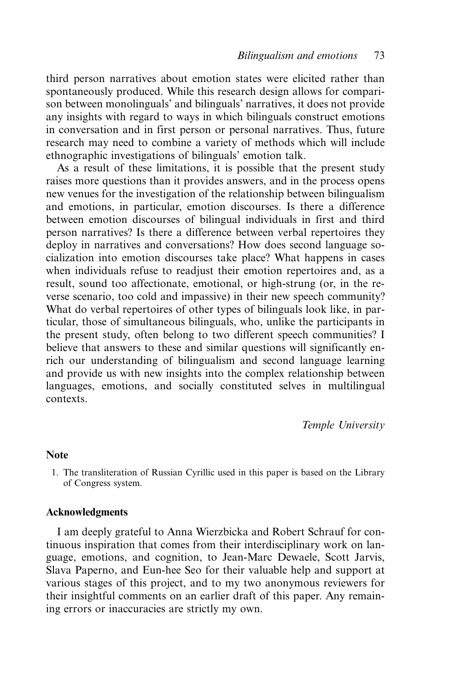third person narratives about emotion states were elicited rather than spontaneously produced. While this research design allows for comparison between monolinguals' and bilinguals' narratives, it does not provide any insights with regard to ways in which bilinguals construct emotions in conversation and in first person or personal narratives. Thus, future research may need to combine a variety of methods which will include ethnographic investigations of bilinguals' emotion talk.

As a result of these limitations, it is possible that the present study raises more questions than it provides answers, and in the process opens new venues for the investigation of the relationship between bilingualism and emotions, in particular, emotion discourses. Is there a difference between emotion discourses of bilingual individuals in first and third person narratives? Is there a difference between verbal repertoires they deploy in narratives and conversations? How does second language socialization into emotion discourses take place? What happens in cases when individuals refuse to readjust their emotion repertoires and, as a result, sound too affectionate, emotional, or high-strung (or, in the reverse scenario, too cold and impassive) in their new speech community? What do verbal repertoires of other types of bilinguals look like, in particular, those of simultaneous bilinguals, who, unlike the participants in the present study, often belong to two different speech communities? I believe that answers to these and similar questions will significantly enrich our understanding of bilingualism and second language learning and provide us with new insights into the complex relationship between languages, emotions, and socially constituted selves in multilingual contexts.

*Temple University*

#### **Note**

1. The transliteration of Russian Cyrillic used in this paper is based on the Library of Congress system.

#### **Acknowledgments**

I am deeply grateful to Anna Wierzbicka and Robert Schrauf for continuous inspiration that comes from their interdisciplinary work on language, emotions, and cognition, to Jean-Marc Dewaele, Scott Jarvis, Slava Paperno, and Eun-hee Seo for their valuable help and support at various stages of this project, and to my two anonymous reviewers for their insightful comments on an earlier draft of this paper. Any remaining errors or inaccuracies are strictly my own.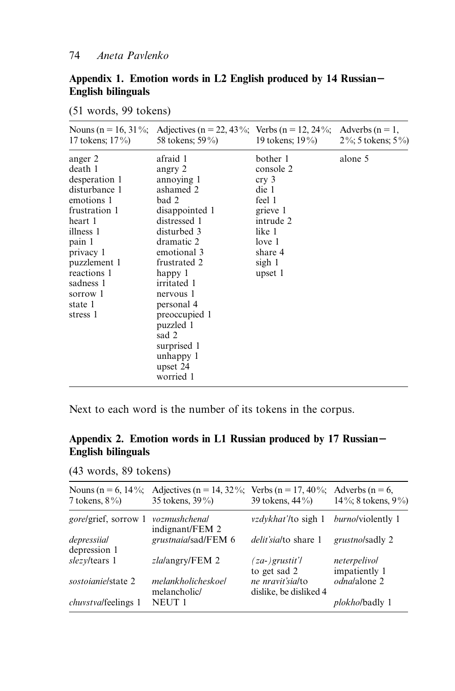### **Appendix 1. Emotion words in L2 English produced by 14 Russian English bilinguals**

| Nouns (n = 16, 31%;                                                                                                                                                                                               | Adjectives (n = 22, 43%; Verbs (n = 12, 24%;                                                                                                                                                                                                                                                           | 19 tokens; 19%)                                                                                                                       | Adverbs $(n = 1,$     |
|-------------------------------------------------------------------------------------------------------------------------------------------------------------------------------------------------------------------|--------------------------------------------------------------------------------------------------------------------------------------------------------------------------------------------------------------------------------------------------------------------------------------------------------|---------------------------------------------------------------------------------------------------------------------------------------|-----------------------|
| 17 tokens; $17\%$ )                                                                                                                                                                                               | 58 tokens; 59 %)                                                                                                                                                                                                                                                                                       |                                                                                                                                       | $2\%$ ; 5 tokens; 5%) |
| anger 2<br>death 1<br>desperation 1<br>disturbance 1<br>emotions 1<br>frustration 1<br>heart 1<br>illness 1<br>pain 1<br>privacy 1<br>puzzlement 1<br>reactions 1<br>sadness 1<br>sorrow 1<br>state 1<br>stress 1 | afraid 1<br>angry 2<br>annoying 1<br>ashamed 2<br>bad 2<br>disappointed 1<br>distressed 1<br>disturbed 3<br>dramatic 2<br>emotional 3<br>frustrated 2<br>happy 1<br>irritated 1<br>nervous 1<br>personal 4<br>preoccupied 1<br>puzzled 1<br>sad 2<br>surprised 1<br>unhappy 1<br>upset 24<br>worried 1 | bother 1<br>console 2<br>$\cr{cry}$ 3<br>die 1<br>feel 1<br>grieve 1<br>intrude 2<br>like 1<br>love 1<br>share 4<br>sigh 1<br>upset 1 | alone 5               |

(51 words, 99 tokens)

Next to each word is the number of its tokens in the corpus.

### **Appendix 2. Emotion words in L1 Russian produced by 17 Russian English bilinguals**

| $(43 \text{ words}, 89 \text{ tokens})$ |  |  |
|-----------------------------------------|--|--|
|-----------------------------------------|--|--|

| Nouns ( $n = 6$ , 14%;<br>7 tokens, $8\%$ ) | Adjectives ( $n = 14, 32\%$ ;<br>35 tokens, 39 %) | Verbs (n = 17, 40 $\%$ ;<br>39 tokens, 44 %) | Adverbs ( $n = 6$ ,<br>14 %; 8 tokens, 9%) |
|---------------------------------------------|---------------------------------------------------|----------------------------------------------|--------------------------------------------|
| <i>gore/grief, sorrow 1</i>                 | vozmushchenal<br>indignant/FEM 2                  | <i>vzdykhať</i> /to sigh 1                   | <i>burno</i> /violently 1                  |
| depressiial<br>depression 1                 | grustnaia/sad/FEM 6                               | <i>delit'sia/to share 1</i>                  | <i>grustno/sadly 2</i>                     |
| slezy/tears 1                               | zla/angry/FEM 2                                   | (za-)grustit'/<br>to get sad 2               | neterpelivol<br>impatiently 1              |
| sostoianie/state 2                          | melankholicheskoel<br>melancholic/                | ne nravit'sialto<br>dislike, be disliked 4   | odna/alone 2                               |
| <i>chuvstva</i> /feelings 1                 | NEUT <sub>1</sub>                                 |                                              | <i>plokho</i> /badly 1                     |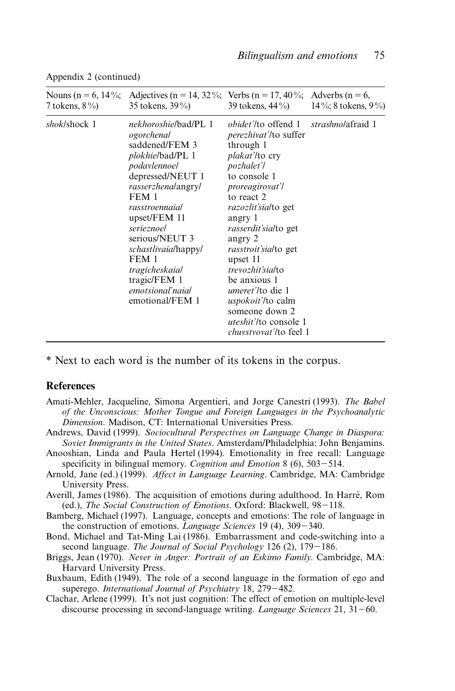| Nouns ( $n = 6$ , 14%; | Adjectives (n = 14, 32%; Verbs (n = 17, 40%;                                                                                                                                                                                                                                                                                          | 39 tokens, 44 %)                                                                                                                                                                                                                                                                                                                                                                                                                                                            | Adverbs $(n = 6,$         |
|------------------------|---------------------------------------------------------------------------------------------------------------------------------------------------------------------------------------------------------------------------------------------------------------------------------------------------------------------------------------|-----------------------------------------------------------------------------------------------------------------------------------------------------------------------------------------------------------------------------------------------------------------------------------------------------------------------------------------------------------------------------------------------------------------------------------------------------------------------------|---------------------------|
| 7 tokens, $8\%$ )      | 35 tokens, 39%)                                                                                                                                                                                                                                                                                                                       |                                                                                                                                                                                                                                                                                                                                                                                                                                                                             | 14%; 8 tokens, $9\%$      |
| shok/shock 1           | nekhoroshie/bad/PL 1<br>ogorchenal<br>saddened/FEM 3<br><i>plokhie/bad/PL</i> 1<br>podavlennoel<br>depressed/NEUT 1<br>rasserzhena/angry/<br>FEM 1<br>rasstroennaial<br>upset/FEM 11<br>serieznoel<br>serious/NEUT 3<br><i>schastlivaia</i> /happy/<br>FEM 1<br>tragicheskaial<br>tragic/FEM 1<br>emotsional'naial<br>emotional/FEM 1 | <i>obidet'/to offend 1</i><br><i>perezhivat'/to suffer</i><br>through 1<br><i>plakat'/to cry</i><br><i>pozhalet'l</i><br>to console 1<br><i>proreagirovat'l</i><br>to react 2<br><i>razozlit'sialto</i> get<br>angry 1<br>rasserdit'sialto get<br>angry 2<br><i>rasstroit'sialto</i> get<br>upset 11<br>trevozhit'sialto<br>be anxious 1<br><i>umeret'/to die 1</i><br>uspokoit'/to calm<br>someone down 2<br><i>uteshit'lto</i> console 1<br><i>chuvstvovat'/to feel 1</i> | <i>strashno</i> /afraid 1 |

Appendix 2 (continued)

\* Next to each word is the number of its tokens in the corpus.

#### **References**

- Amati-Mehler, Jacqueline, Simona Argentieri, and Jorge Canestri (1993). *The Babel of the Unconscious: Mother Tongue and Foreign Languages in the Psychoanalytic Dimension*. Madison, CT: International Universities Press.
- Andrews, David (1999). *Sociocultural Perspectives on Language Change in Diaspora: Soviet Immigrants in the United States*. Amsterdam/Philadelphia: John Benjamins.
- Anooshian, Linda and Paula Hertel (1994). Emotionality in free recall: Language specificity in bilingual memory. *Cognition and Emotion* 8 (6), 503–514.
- Arnold, Jane (ed.) (1999). *Affect in Language Learning*. Cambridge, MA: Cambridge University Press.
- Averill, James (1986). The acquisition of emotions during adulthood. In Harré, Rom (ed.), *The Social Construction of Emotions*. Oxford: Blackwell, 98-118.
- Bamberg, Michael (1997). Language, concepts and emotions: The role of language in the construction of emotions. *Language Sciences* 19 (4), 309–340.
- Bond, Michael and Tat-Ming Lai (1986). Embarrassment and code-switching into a second language. *The Journal of Social Psychology* 126 (2), 179–186.
- Briggs, Jean (1970). *Never in Anger: Portrait of an Eskimo Family*. Cambridge, MA: Harvard University Press.
- Buxbaum, Edith (1949). The role of a second language in the formation of ego and superego. *International Journal of Psychiatry* 18, 279–482.
- Clachar, Arlene (1999). It's not just cognition: The effect of emotion on multiple-level discourse processing in second-language writing. *Language Sciences* 21,  $3\overline{1}$  –60.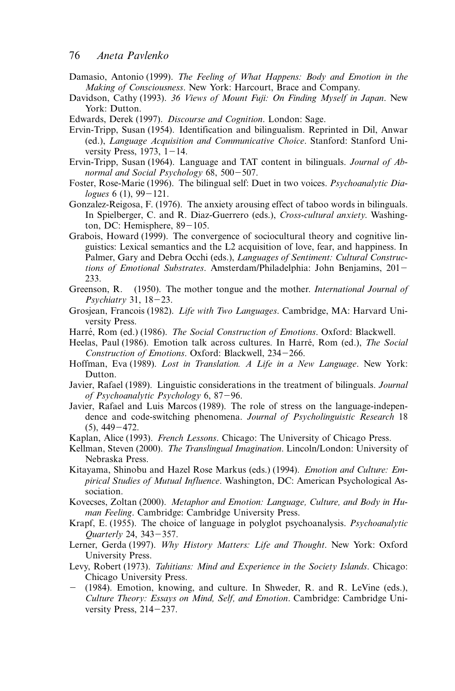- Damasio, Antonio (1999). *The Feeling of What Happens: Body and Emotion in the Making of Consciousness*. New York: Harcourt, Brace and Company.
- Davidson, Cathy (1993). *36 Views of Mount Fuji: On Finding Myself in Japan*. New York: Dutton.
- Edwards, Derek (1997). *Discourse and Cognition*. London: Sage.
- Ervin-Tripp, Susan (1954). Identification and bilingualism. Reprinted in Dil, Anwar (ed.), *Language Acquisition and Communicative Choice*. Stanford: Stanford University Press,  $1973$ ,  $1-14$ .
- Ervin-Tripp, Susan (1964). Language and TAT content in bilinguals. *Journal of Abnormal and Social Psychology* 68, 500-507.
- Foster, Rose-Marie (1996). The bilingual self: Duet in two voices. *Psychoanalytic Dialogues* 6 (1), 99-121.
- Gonzalez-Reigosa, F. (1976). The anxiety arousing effect of taboo words in bilinguals. In Spielberger, C. and R. Diaz-Guerrero (eds.), *Cross-cultural anxiety*. Washington, DC: Hemisphere,  $89-105$ .
- Grabois, Howard (1999). The convergence of sociocultural theory and cognitive linguistics: Lexical semantics and the L2 acquisition of love, fear, and happiness. In Palmer, Gary and Debra Occhi (eds.), *Languages of Sentiment: Cultural Constructions of Emotional Substrates*. Amsterdam/Philadelphia: John Benjamins, 201 233.
- Greenson, R. (1950). The mother tongue and the mother. *International Journal of Psychiatry* 31, 18-23.
- Grosjean, Francois (1982). *Life with Two Languages*. Cambridge, MA: Harvard University Press.
- Harre´, Rom (ed.) (1986). *The Social Construction of Emotions*. Oxford: Blackwell.
- Heelas, Paul (1986). Emotion talk across cultures. In Harré, Rom (ed.), *The Social* Construction of Emotions. Oxford: Blackwell, 234-266.
- Hoffman, Eva (1989). *Lost in Translation. A Life in a New Language*. New York: Dutton.
- Javier, Rafael (1989). Linguistic considerations in the treatment of bilinguals. *Journal of Psychoanalytic Psychology* 6, 87-96.
- Javier, Rafael and Luis Marcos (1989). The role of stress on the language-independence and code-switching phenomena. *Journal of Psycholinguistic Research* 18  $(5)$ , 449-472.
- Kaplan, Alice (1993). *French Lessons*. Chicago: The University of Chicago Press.
- Kellman, Steven (2000). *The Translingual Imagination*. Lincoln/London: University of Nebraska Press.
- Kitayama, Shinobu and Hazel Rose Markus (eds.) (1994). *Emotion and Culture: Empirical Studies of Mutual Influence*. Washington, DC: American Psychological Association.
- Kovecses, Zoltan (2000). *Metaphor and Emotion: Language, Culture, and Body in Human Feeling*. Cambridge: Cambridge University Press.
- Krapf, E. (1955). The choice of language in polyglot psychoanalysis. *Psychoanalytic Quarterly* 24, 343-357.
- Lerner, Gerda (1997). *Why History Matters: Life and Thought*. New York: Oxford University Press.
- Levy, Robert (1973). *Tahitians: Mind and Experience in the Society Islands*. Chicago: Chicago University Press.
- (1984). Emotion, knowing, and culture. In Shweder, R. and R. LeVine (eds.), *Culture Theory: Essays on Mind, Self, and Emotion*. Cambridge: Cambridge University Press,  $214-237$ .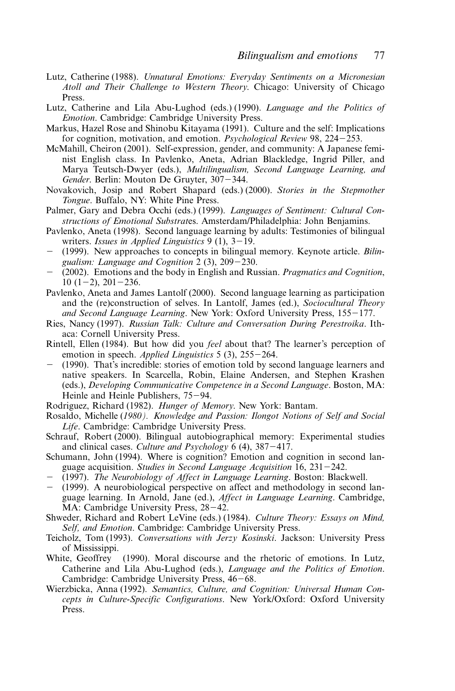- Lutz, Catherine (1988). *Unnatural Emotions: Everyday Sentiments on a Micronesian Atoll and Their Challenge to Western Theory*. Chicago: University of Chicago Press.
- Lutz, Catherine and Lila Abu-Lughod (eds.) (1990). *Language and the Politics of Emotion*. Cambridge: Cambridge University Press.
- Markus, Hazel Rose and Shinobu Kitayama (1991). Culture and the self: Implications for cognition, motivation, and emotion. *Psychological Review* 98, 224–253.
- McMahill, Cheiron (2001). Self-expression, gender, and community: A Japanese feminist English class. In Pavlenko, Aneta, Adrian Blackledge, Ingrid Piller, and Marya Teutsch-Dwyer (eds.), *Multilingualism, Second Language Learning, and Gender.* Berlin: Mouton De Gruyter, 307-344.
- Novakovich, Josip and Robert Shapard (eds.) (2000). *Stories in the Stepmother Tongue*. Buffalo, NY: White Pine Press.
- Palmer, Gary and Debra Occhi (eds.) (1999). *Languages of Sentiment: Cultural Constructions of Emotional Substrat*es. Amsterdam/Philadelphia: John Benjamins.
- Pavlenko, Aneta (1998). Second language learning by adults: Testimonies of bilingual writers. *Issues in Applied Linguistics*  $9(1)$ ,  $3-19$ .
- (1999). New approaches to concepts in bilingual memory. Keynote article. *Bilin*gualism: Language and Cognition  $2(3)$ ,  $209-230$ .
- (2002). Emotions and the body in English and Russian. *Pragmatics and Cognition*,  $10(1-2)$ ,  $201-236$ .
- Pavlenko, Aneta and James Lantolf (2000). Second language learning as participation and the (re)construction of selves. In Lantolf, James (ed.), *Sociocultural Theory and Second Language Learning*. New York: Oxford University Press, 155–177.
- Ries, Nancy (1997). *Russian Talk: Culture and Conversation During Perestroika*. Ithaca: Cornell University Press.
- Rintell, Ellen (1984). But how did you *feel* about that? The learner's perception of emotion in speech. *Applied Linguistics* 5 (3), 255–264.
- (1990). That's incredible: stories of emotion told by second language learners and native speakers. In Scarcella, Robin, Elaine Andersen, and Stephen Krashen (eds.), *Developing Communicative Competence in a Second Language*. Boston, MA: Heinle and Heinle Publishers, 75-94.

Rodriguez, Richard (1982). *Hunger of Memory*. New York: Bantam.

- Rosaldo, Michelle (*1980). Knowledge and Passion: Ilongot Notions of Self and Social Life*. Cambridge: Cambridge University Press.
- Schrauf, Robert (2000). Bilingual autobiographical memory: Experimental studies and clinical cases. *Culture and Psychology* 6 (4), 387–417.
- Schumann, John (1994). Where is cognition? Emotion and cognition in second language acquisition. *Studies in Second Language Acquisition* 16, 231-242.
- (1997). *The Neurobiology of Affect in Language Learning*. Boston: Blackwell.
- (1999). A neurobiological perspective on affect and methodology in second language learning. In Arnold, Jane (ed.), *Affect in Language Learning*. Cambridge, MA: Cambridge University Press, 28-42.
- Shweder, Richard and Robert LeVine (eds.) (1984). *Culture Theory: Essays on Mind, Self, and Emotion*. Cambridge: Cambridge University Press.
- Teicholz, Tom (1993). *Conversations with Jerzy Kosinski*. Jackson: University Press of Mississippi.
- White, Geoffrey (1990). Moral discourse and the rhetoric of emotions. In Lutz, Catherine and Lila Abu-Lughod (eds.), *Language and the Politics of Emotion*. Cambridge: Cambridge University Press, 46-68.
- Wierzbicka, Anna (1992). *Semantics, Culture, and Cognition: Universal Human Concepts in Culture-Specific Configurations*. New York/Oxford: Oxford University Press.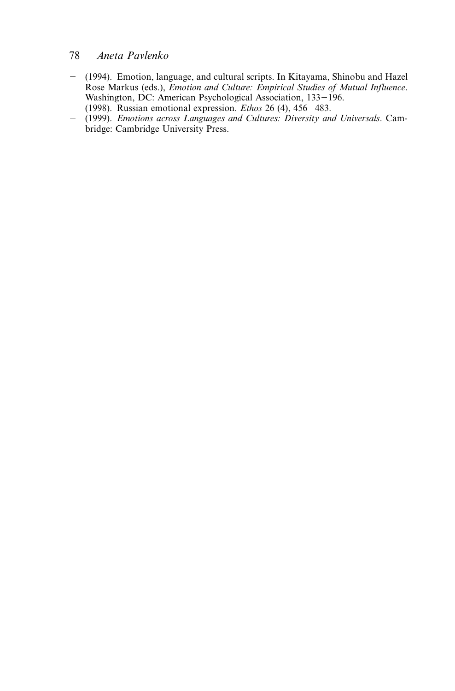#### 78 *Aneta Pavlenko*

- (1994). Emotion, language, and cultural scripts. In Kitayama, Shinobu and Hazel Rose Markus (eds.), *Emotion and Culture: Empirical Studies of Mutual Influence*. Washington, DC: American Psychological Association,  $133-196$ .
- (1998). Russian emotional expression. *Ethos* 26 (4), 456–483.
- (1999). *Emotions across Languages and Cultures: Diversity and Universals*. Cambridge: Cambridge University Press.